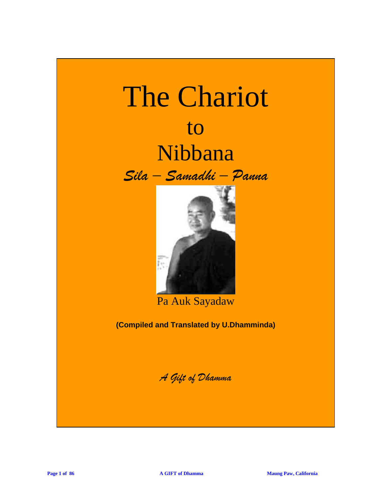# The Chariot to Nibbana *Sila – Samadhi – Panna*



Pa Auk Sayadaw

**(Compiled and Translated by U.Dhamminda)**

*A Gift of Dhamma*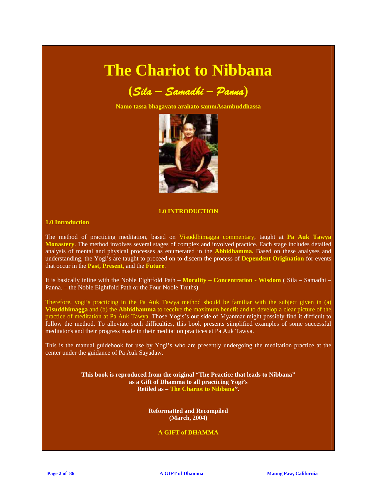# **The Chariot to Nibbana**

**(***Sila – Samadhi – Panna***)** 

**Namo tassa bhagavato arahato sammAsambuddhassa**



# **1.0 INTRODUCTION**

**1.0 Introduction** 

The method of practicing meditation, based on Visuddhimagga commentary, taught at **Pa Auk Tawya Monastery**. The method involves several stages of complex and involved practice. Each stage includes detailed analysis of mental and physical processes as enumerated in the **Abhidhamma.** Based on these analyses and understanding, the Yogi's are taught to proceed on to discern the process of **Dependent Origination** for events that occur in the **Past, Present,** and the **Future**.

It is basically inline with the Noble Eightfold Path – **Morality – Concentration - Wisdom** ( Sila – Samadhi – Panna. – the Noble Eightfold Path or the Four Noble Truths)

Therefore, yogi's practicing in the Pa Auk Tawya method should be familiar with the subject given in (a) **Visuddhimagga** and (b) the **Abhidhamma** to receive the maximum benefit and to develop a clear picture of the practice of meditation at Pa Auk Tawya. Those Yogis's out side of Myanmar might possibly find it difficult to follow the method. To alleviate such difficulties, this book presents simplified examples of some successful meditator's and their progress made in their meditation practices at Pa Auk Tawya.

This is the manual guidebook for use by Yogi's who are presently undergoing the meditation practice at the center under the guidance of Pa Auk Sayadaw.

> **This book is reproduced from the original "The Practice that leads to Nibbana" as a Gift of Dhamma to all practicing Yogi's Retiled as – The Chariot to Nibbana".**

> > **Reformatted and Recompiled (March, 2004)**

> > > **A GIFT of DHAMMA**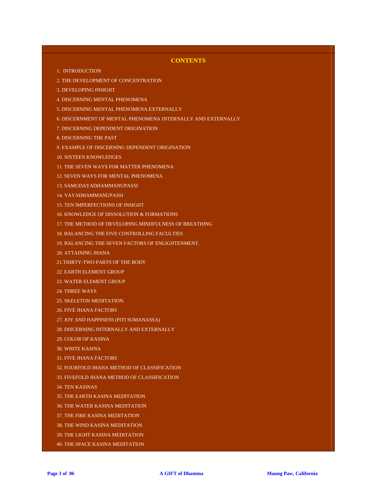#### **CONTENTS**

- 1. INTRODUCTION
- 2. THE DEVELOPMENT OF CONCENTRATION
- 3. DEVELOPING INSIGHT
- 4. DISCERNING MENTAL PHENOMENA
- 5. DISCERNING MENTAL PHENOMENA EXTERNALLY
- 6. DISCERNMENT OF MENTAL PHENOMENA INTERNALLY AND EXTERNALLY
- 7. DISCERNING DEPENDENT ORIGINATION
- 8. DISCERNING THE PAST
- 9. EXAMPLE OF DISCERNING DEPENDENT ORIGINATION
- 10. SIXTEEN KNOWLEDGES
- 11. THE SEVEN WAYS FOR MATTER PHENOMENA
- 12. SEVEN WAYS FOR MENTAL PHENOMENA
- 13. SAMUDAYADHAMMANUPASSI
- 14. VAYADHAMMANUPASSI
- 15. TEN IMPERFECTIONS OF INSIGHT
- 16. KNOWLEDGE OF DISSOLUTION & FORMATIONS
- 17. THE METHOD OF DEVELOPING MINDFULNESS OF BREATHING
- 18. BALANCING THE FIVE CONTROLLING FACULTIES
- 19. BALANCING THE SEVEN FACTORS OF ENLIGHTENMENT.
- 20. ATTAINING JHANA
- 21.THIRTY-TWO PARTS OF THE BODY
- 22. EARTH ELEMENT GROUP
- 23. WATER ELEMENT GROUP
- 24. THREE WAYS
- 25. SKELETON MEDITATION.
- 26. FIVE JHANA FACTORS
- 27. JOY AND HAPPINESS (PITI SOMANASSA)
- 28. DISCERNING INTERNALLY AND EXTERNALLY
- 29. COLOR OF KASINA
- 30. WHITE KASINA
- 31. FIVE JHANA FACTORS
- 32. FOURFOLD JHANA METHOD OF CLASSIFICATION
- 33. FIVEFOLD JHANA METHOD OF CLASSIFICATION
- 34. TEN KASINAS
- 35. THE EARTH KASINA MEDITATION
- 36. THE WATER KASINA MEDITATION
- 37. THE FIRE KASINA MEDITATION
- 38. THE WIND KASINA MEDITATION
- 39. THE LIGHT KASINA MEDITATION
- 40. THE SPACE KASINA MEDITATION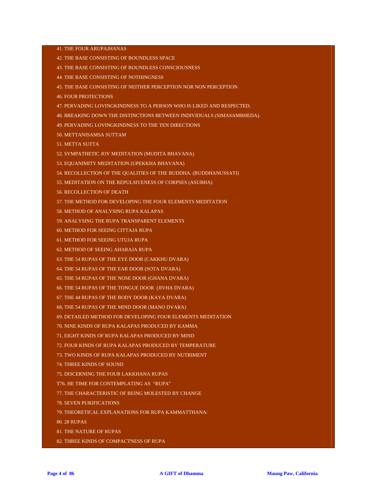|  |  |  |  | 41. THE FOUR ARUPAJHANAS |
|--|--|--|--|--------------------------|
|--|--|--|--|--------------------------|

42. THE BASE CONSISTING OF BOUNDLESS SPACE

- 43. THE BASE CONSISTING OF BOUNDLESS CONSCIOUSNESS
- 44. THE BASE CONSISTING OF NOTHINGNESS
- 45. THE BASE CONSISTING OF NEITHER PERCEPTION NOR NON PERCEPTION
- 46. FOUR PROTECTIONS
- 47. PERVADING LOVINGKINDNESS TO A PERSON WHO IS LIKED AND RESPECTED.
- 48. BREAKING DOWN THE DISTINCTIONS BETWEEN INDIVIDUALS (SIMASAMBHEDA).
- 49. PERVADING LOVINGKINDNESS TO THE TEN DIRECTIONS
- 50. METTANISAMSA SUTTAM
- 51. METTA SUTTA
- 52. SYMPATHETIC JOY MEDITATION (MUDITA BHAVANA)
- 53. EQUANIMITY MEDITATION (UPEKKHA BHAVANA)
- 54. RECOLLECTION OF THE QUALITIES OF THE BUDDHA. (BUDDHANUSSATI)
- 55. MEDITATION ON THE REPULSIVENESS OF CORPSES (ASUBHA)
- 56. RECOLLECTION OF DEATH
- 57. THE METHOD FOR DEVELOPING THE FOUR ELEMENTS MEDITATION
- 58. METHOD OF ANALYSING RUPA KALAPAS
- 59. ANALYSING THE RUPA TRANSPARENT ELEMENTS
- 60. METHOD FOR SEEING CITTAJA RUPA
- 61. METHOD FOR SEEING UTUJA RUPA
- 62. METHOD OF SEEING AHARAJA RUPA
- 63. THE 54 RUPAS OF THE EYE DOOR (CAKKHU DVARA)
- 64. THE 54 RUPAS OF THE EAR DOOR (SOTA DVARA)
- 65. THE 54 RUPAS OF THE NOSE DOOR (GHANA DVARA)
- 66. THE 54 RUPAS OF THE TONGUE DOOR (JIVHA DVARA)
- 67. THE 44 RUPAS OF THE BODY DOOR (KAYA DVARA)
- 68, THE 54 RUPAS OF THE MIND DOOR (MANO DVARA)
- 69. DETAILED METHOD FOR DEVELOPING FOUR ELEMENTS MEDITATION
- 70. NINE KINDS OF RUPA KALAPAS PRODUCED BY KAMMA
- 71. EIGHT KINDS OF RUPA KALAPAS PRODUCED BY MIND
- 72. FOUR KINDS OF RUPA KALAPAS PRODUCED BY TEMPERATURE
- 73. TWO KINDS OF RUPA KALAPAS PRODUCED BY NUTRIMENT
- 74. THREE KINDS OF SOUND
- 75. DISCERNING THE FOUR LAKKHANA RUPAS
- T76. HE TIME FOR CONTEMPLATING AS "RUPA"
- 77. THE CHARACTERISTIC OF BEING MOLESTED BY CHANGE
- 78. SEVEN PURIFICATIONS
- 79. THEORETICAL EXPLANATIONS FOR RUPA KAMMATTHANA:
- 80. 28 RUPAS
- 81. THE NATURE OF RUPAS
- 82. THREE KINDS OF COMPACTNESS OF RUPA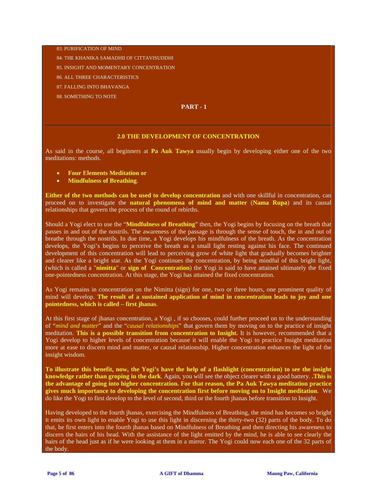#### 83. PURIFICATION OF MIND

- 84. THE KHANIKA SAMADHII OF CITTAVISUDDHI
- 85. INSIGHT AND MOMENTARY CONCENTRATION
- 86. ALL THREE CHARACTERISTICS
- 87. FALLING INTO BHAVANGA
- 88. SOMETHING TO NOTE

# **PART - 1**

# **2.0 THE DEVELOPMENT OF CONCENTRATION**

As said in the course, all beginners at **Pa Auk Tawya** usually begin by developing either one of the two meditations: methods.

- **Four Elements Meditation or**
- **Mindfulness of Breathing**.

**Either of the two methods can be used to develop concentration** and with one skillful in concentration, can proceed on to investigate the **natural phenomena of mind and matter** (**Nama Rupa**) and its causal relationships that govern the process of the round of rebirths.

Should a Yogi elect to use the "**Mindfulness of Breathing**" then, the Yogi begins by focusing on the breath that passes in and out of the nostrils. The awareness of the passage is through the sense of touch, the in and out of breathe through the nostrils. In due time, a Yogi develops his mindfulness of the breath. As the concentration develops, the Yogi's begins to perceive the breath as a small light resting against his face. The continued development of this concentration will lead to perceiving grow of white light that gradually becomes brighter and clearer like a bright star. As the Yogi continues the concentration, by being mindful of this bright light, (which is called a "**nimitta**" or **sign of Concentration**) the Yogi is said to have attained ultimately the fixed one-pointedness concentration. At this stage, the Yogi has attained the fixed concentration.

As Yogi remains in concentration on the Nimitta (sign) for one, two or three hours, one prominent quality of mind will develop. **The result of a sustained application of mind in concentration leads to joy and one pointedness, which is called – first jhanas**.

At this first stage of jhanas concentration, a Yogi , if so chooses, could further proceed on to the understanding of "*mind and matter*" and the "*causal relationships*" that govern them by moving on to the practice of insight meditation. **This is a possible transition from concentration to Insight.** It is however, recommended that a Yogi develop to higher levels of concentration because it will enable the Yogi to practice Insight meditation more at ease to discern mind and matter, or causal relationship. Higher concentration enhances the light of the insight wisdom.

**To illustrate this benefit, now, the Yogi's have the help of a flashlight (concentration) to see the insight knowledge rather than groping in the dark**. Again, you will see the object clearer with a good battery. **.This is the advantage of going into higher concentration. For that reason, the Pa Auk Tawya meditation practice gives much importance to developing the concentration first before moving on to Insight meditation**. We do like the Yogi to first develop to the level of second, third or the fourth jhanas before transition to Insight.

Having developed to the fourth jhanas, exercising the Mindfulness of Breathing, the mind has becomes so bright it emits its own light to enable Yogi to use this light in discerning the thirty-two (32) parts of the body. To do that, he first enters into the fourth jhanas based on Mindfulness of Breathing and then directing his awareness to discern the hairs of his head. With the assistance of the light emitted by the mind, he is able to see clearly the hairs of the head just as if he were looking at them in a mirror. The Yogi could now each one of the 32 parts of the body.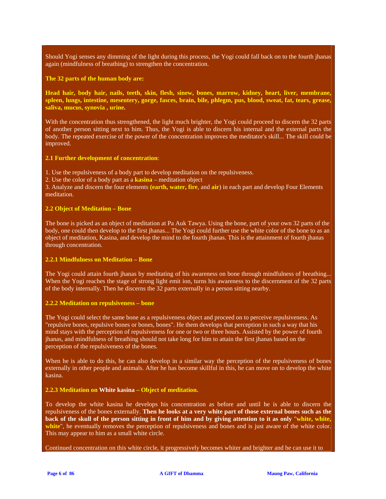Should Yogi senses any dimming of the light during this process, the Yogi could fall back on to the fourth jhanas again (mindfulness of breathing) to strengthen the concentration.

**The 32 parts of the human body are:** 

**Head hair, body hair, nails, teeth, skin, flesh, sinew, bones, marrow, kidney, heart, liver, membrane, spleen, lungs, intestine, mesentery, gorge, fasces, brain, bile, phlegm, pus, blood, sweat, fat, tears, grease, saliva, mucus, synovia , urine.** 

With the concentration thus strengthened, the light much brighter, the Yogi could proceed to discern the 32 parts of another person sitting next to him. Thus, the Yogi is able to discern his internal and the external parts the body. The repeated exercise of the power of the concentration improves the meditator's skill... The skill could be improved.

# **2.1 Further development of concentration**:

1. Use the repulsiveness of a body part to develop meditation on the repulsiveness.

2. Use the color of a body part as a **kasina** – meditation object

3. Analyze and discern the four elements **(earth, water, fire**, and **air**) in each part and develop Four Elements meditation.

# **2.2 Object of Meditation – Bone**

The bone is picked as an object of meditation at Pa Auk Tawya. Using the bone, part of your own 32 parts of the body, one could then develop to the first jhanas... The Yogi could further use the white color of the bone to as an object of meditation, Kasina, and develop the mind to the fourth jhanas. This is the attainment of fourth jhanas through concentration.

# **2.2.1 Mindfulness on Meditation – Bone**

The Yogi could attain fourth jhanas by meditating of his awareness on bone through mindfulness of breathing... When the Yogi reaches the stage of strong light emit ion, turns his awareness to the discernment of the 32 parts of the body internally. Then he discerns the 32 parts externally in a person sitting nearby.

#### **2.2.2 Meditation on repulsiveness – bone**

The Yogi could select the same bone as a repulsiveness object and proceed on to perceive repulsiveness. As "repulsive bones, repulsive bones or bones, bones". He them develops that perception in such a way that his mind stays with the perception of repulsiveness for one or two or three hours. Assisted by the power of fourth jhanas, and mindfulness of breathing should not take long for him to attain the first jhanas based on the perception of the repulsiveness of the bones.

When he is able to do this, he can also develop in a similar way the perception of the repulsiveness of bones externally in other people and animals. After he has become skillful in this, he can move on to develop the white kasina.

# **2.2.3 Meditation on White kasina – Object of meditation.**

To develop the white kasina he develops his concentration as before and until he is able to discern the repulsiveness of the bones externally. **Then he looks at a very white part of those external bones such as the back of the skull of the person sitting in front of him and by giving attention to it as only** "**white, white,** white", he eventually removes the perception of repulsiveness and bones and is just aware of the white color. This may appear to him as a small white circle.

Continued concentration on this white circle, it progressively becomes whiter and brighter and he can use it to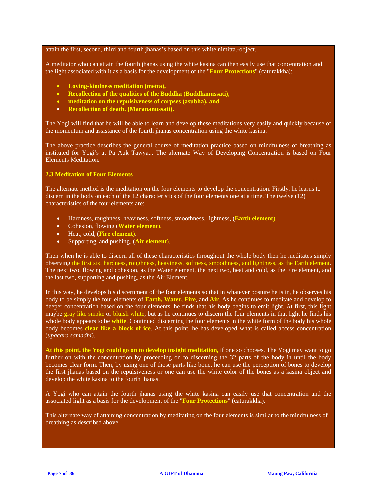# attain the first, second, third and fourth jhanas's based on this white nimitta.-object.

A meditator who can attain the fourth jhanas using the white kasina can then easily use that concentration and the light associated with it as a basis for the development of the "**Four Protections**" (caturakkha):

- **Loving-kindness meditation (metta),**
- **Recollection of the qualities of the Buddha (Buddhanussati),**
- **meditation on the repulsiveness of corpses (asubha), and**
- **Recollection of death. (Marananussati).**

The Yogi will find that he will be able to learn and develop these meditations very easily and quickly because of the momentum and assistance of the fourth jhanas concentration using the white kasina.

The above practice describes the general course of meditation practice based on mindfulness of breathing as instituted for Yogi's at Pa Auk Tawya... The alternate Way of Developing Concentration is based on Four Elements Meditation.

#### **2.3 Meditation of Four Elements**

The alternate method is the meditation on the four elements to develop the concentration. Firstly, he learns to discern in the body on each of the 12 characteristics of the four elements one at a time. The twelve (12) characteristics of the four elements are:

- Hardness, roughness, heaviness, softness, smoothness, lightness, (**Earth element**).
- Cohesion, flowing (**Water element**).
- Heat, cold, (**Fire element**).
- Supporting, and pushing. (**Air element**).

Then when he is able to discern all of these characteristics throughout the whole body then he meditates simply observing the first six, hardness, roughness, heaviness, softness, smoothness, and lightness, as the Earth element. The next two, flowing and cohesion, as the Water element, the next two, heat and cold, as the Fire element, and the last two, supporting and pushing, as the Air Element.

In this way, he develops his discernment of the four elements so that in whatever posture he is in, he observes his body to be simply the four elements of **Earth, Water, Fire**, and **Air**. As he continues to meditate and develop to deeper concentration based on the four elements, he finds that his body begins to emit light. At first, this light maybe gray like smoke or bluish white, but as he continues to discern the four elements in that light he finds his whole body appears to be **white**. Continued discerning the four elements in the white form of the body his whole body becomes **clear like a block of ice**. At this point, he has developed what is called access concentration (*upacara samadhi*).

**At this point, the Yogi could go on to develop insight meditation,** if one so chooses. The Yogi may want to go further on with the concentration by proceeding on to discerning the 32 parts of the body in until the body becomes clear form. Then, by using one of those parts like bone, he can use the perception of bones to develop the first jhanas based on the repulsiveness or one can use the white color of the bones as a kasina object and develop the white kasina to the fourth jhanas.

A Yogi who can attain the fourth jhanas using the white kasina can easily use that concentration and the associated light as a basis for the development of the "**Four Protections**" (caturakkha).

This alternate way of attaining concentration by meditating on the four elements is similar to the mindfulness of breathing as described above.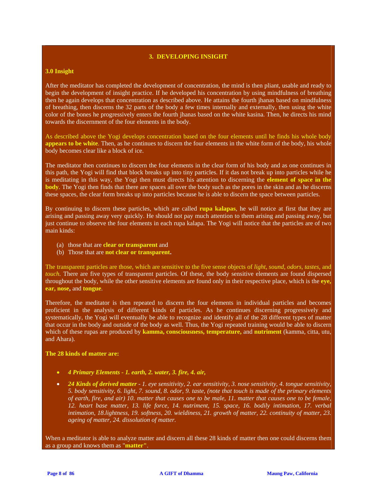#### **3. DEVELOPING INSIGHT**

#### **3.0 Insight**

After the meditator has completed the development of concentration, the mind is then pliant, usable and ready to begin the development of insight practice. If he developed his concentration by using mindfulness of breathing then he again develops that concentration as described above. He attains the fourth jhanas based on mindfulness of breathing, then discerns the 32 parts of the body a few times internally and externally, then using the white color of the bones he progressively enters the fourth jhanas based on the white kasina. Then, he directs his mind towards the discernment of the four elements in the body.

As described above the Yogi develops concentration based on the four elements until he finds his whole body **appears to be white**. Then, as he continues to discern the four elements in the white form of the body, his whole body becomes clear like a block of ice.

The meditator then continues to discern the four elements in the clear form of his body and as one continues in this path, the Yogi will find that block breaks up into tiny particles. If it das not break up into particles while he is meditating in this way, the Yogi then must directs his attention to discerning the **element of space in the body**. The Yogi then finds that there are spaces all over the body such as the pores in the skin and as he discerns these spaces, the clear form breaks up into particles because he is able to discern the space between particles.

By continuing to discern these particles, which are called **rupa kalapas**, he will notice at first that they are arising and passing away very quickly. He should not pay much attention to them arising and passing away, but just continue to observe the four elements in each rupa kalapa. The Yogi will notice that the particles are of two main kinds:

- (a) those that are **clear or transparent** and
- (b) Those that are **not clear or transparent.**

The transparent particles are those, which are sensitive to the five sense objects of *light, sound, odors, tastes,* and *touch.* There are five types of transparent particles. Of these, the body sensitive elements are found dispersed throughout the body, while the other sensitive elements are found only in their respective place, which is the **eye, ear, nose,** and **tongue**.

Therefore, the meditator is then repeated to discern the four elements in individual particles and becomes proficient in the analysis of different kinds of particles. As he continues discerning progressively and systematically, the Yogi will eventually be able to recognize and identify all of the 28 different types of matter that occur in the body and outside of the body as well. Thus, the Yogi repeated training would be able to discern which of these rupas are produced by **kamma, consciousness, temperature,** and **nutriment** (kamma, citta, utu, and Ahara).

# **The 28 kinds of matter are:**

- *4 Primary Elements 1. earth, 2. water, 3. fire, 4. air,*
- *24 Kinds of derived matter 1. eye sensitivity, 2. ear sensitivity, 3. nose sensitivity, 4. tongue sensitivity, 5. body sensitivity, 6. light, 7. sound, 8. odor, 9. taste, (note that touch is made of the primary elements of earth, fire, and air) 10. matter that causes one to be male, 11. matter that causes one to be female, 12. heart base matter, 13. life force, 14. nutriment, 15. space, 16. bodily intimation, 17. verbal intimation, 18.lightness, 19. softness, 20. wieldiness, 21. growth of matter, 22. continuity of matter, 23. ageing of matter, 24. dissolution of matter.*

When a meditator is able to analyze matter and discern all these 28 kinds of matter then one could discerns them as a group and knows them as "**matter"**.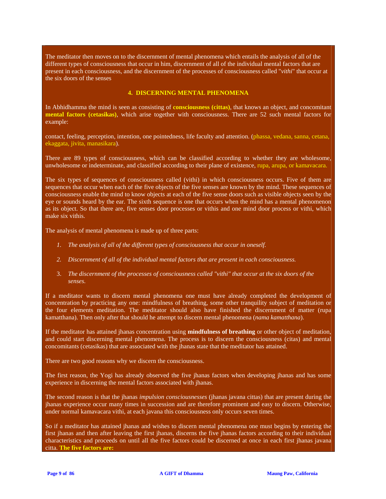The meditator then moves on to the discernment of mental phenomena which entails the analysis of all of the different types of consciousness that occur in him, discernment of all of the individual mental factors that are present in each consciousness, and the discernment of the processes of consciousness called "*vithi*" that occur at the six doors of the senses

#### **4. DISCERNING MENTAL PHENOMENA**

In Abhidhamma the mind is seen as consisting of **consciousness (cittas)**, that knows an object, and concomitant **mental factors (cetasikas)**, which arise together with consciousness. There are 52 such mental factors for example:

contact, feeling, perception, intention, one pointedness, life faculty and attention. (phassa, vedana, sanna, cetana, ekaggata, jivita, manasikara).

There are 89 types of consciousness, which can be classified according to whether they are wholesome, unwholesome or indeterminate, and classified according to their plane of existence, rupa, arupa, or kamavacara.

The six types of sequences of consciousness called (vithi) in which consciousness occurs. Five of them are sequences that occur when each of the five objects of the five senses are known by the mind. These sequences of consciousness enable the mind to know objects at each of the five sense doors such as visible objects seen by the eye or sounds heard by the ear. The sixth sequence is one that occurs when the mind has a mental phenomenon as its object. So that there are, five senses door processes or vithis and one mind door process or vithi, which make six vithis.

The analysis of mental phenomena is made up of three parts:

- *1. The analysis of all of the different types of consciousness that occur in oneself.*
- *2. Discernment of all of the individual mental factors that are present in each consciousness.*
- 3. *The discernment of the processes of consciousness called "vithi" that occur at the six doors of the senses.*

If a meditator wants to discern mental phenomena one must have already completed the development of concentration by practicing any one: mindfulness of breathing, some other tranquility subject of meditation or the four elements meditation. The meditator should also have finished the discernment of matter (rupa kamatthana). Then only after that should he attempt to discern mental phenomena (*nama kamatthana*).

If the meditator has attained jhanas concentration using **mindfulness of breathing** or other object of meditation, and could start discerning mental phenomena. The process is to discern the consciousness (citas) and mental concomitants (cetasikas) that are associated with the jhanas state that the meditator has attained.

There are two good reasons why we discern the consciousness.

The first reason, the Yogi has already observed the five jhanas factors when developing jhanas and has some experience in discerning the mental factors associated with jhanas.

The second reason is that the jhanas *impulsion consciousnesses* (jhanas javana cittas) that are present during the jhanas experience occur many times in succession and are therefore prominent and easy to discern. Otherwise, under normal kamavacara vithi, at each javana this consciousness only occurs seven times.

So if a meditator has attained jhanas and wishes to discern mental phenomena one must begins by entering the first jhanas and then after leaving the first jhanas, discerns the five jhanas factors according to their individual characteristics and proceeds on until all the five factors could be discerned at once in each first jhanas javana citta. **The five factors are:**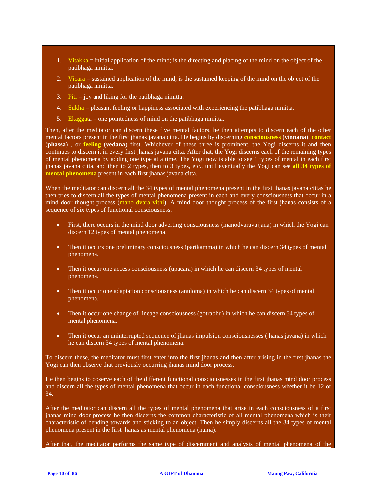- 1. Vitakka = initial application of the mind; is the directing and placing of the mind on the object of the patibhaga nimitta.
- 2. Vicara = sustained application of the mind; is the sustained keeping of the mind on the object of the patibhaga nimitta.
- 3. Piti  $=$  joy and liking for the patibhaga nimitta.
- 4. Sukha = pleasant feeling or happiness associated with experiencing the patibhaga nimitta.
- 5. Ekaggata = one pointedness of mind on the patibhaga nimitta.

Then, after the meditator can discern these five mental factors, he then attempts to discern each of the other mental factors present in the first jhanas javana citta. He begins by discerning **consciousness** (**vinnana**), **contact** (**phassa**) , or **feeling** (**vedana**) first. Whichever of these three is prominent, the Yogi discerns it and then continues to discern it in every first jhanas javana citta. After that, the Yogi discerns each of the remaining types of mental phenomena by adding one type at a time. The Yogi now is able to see 1 types of mental in each first jhanas javana citta, and then to 2 types, then to 3 types, etc., until eventually the Yogi can see **all 34 types of mental phenomena** present in each first jhanas javana citta.

When the meditator can discern all the 34 types of mental phenomena present in the first jhanas javana cittas he then tries to discern all the types of mental phenomena present in each and every consciousness that occur in a mind door thought process (mano dvara vithi). A mind door thought process of the first jhanas consists of a sequence of six types of functional consciousness.

- First, there occurs in the mind door adverting consciousness (manodvaravajjana) in which the Yogi can discern 12 types of mental phenomena.
- Then it occurs one preliminary consciousness (parikamma) in which he can discern 34 types of mental phenomena.
- Then it occur one access consciousness (upacara) in which he can discern 34 types of mental phenomena.
- Then it occur one adaptation consciousness (anuloma) in which he can discern 34 types of mental phenomena.
- Then it occur one change of lineage consciousness (gotrabhu) in which he can discern 34 types of mental phenomena.
- Then it occur an uninterrupted sequence of jhanas impulsion consciousnesses (jhanas javana) in which he can discern 34 types of mental phenomena.

To discern these, the meditator must first enter into the first jhanas and then after arising in the first jhanas the Yogi can then observe that previously occurring jhanas mind door process.

He then begins to observe each of the different functional consciousnesses in the first jhanas mind door process and discern all the types of mental phenomena that occur in each functional consciousness whether it be 12 or 34.

After the meditator can discern all the types of mental phenomena that arise in each consciousness of a first jhanas mind door process he then discerns the common characteristic of all mental phenomena which is their characteristic of bending towards and sticking to an object. Then he simply discerns all the 34 types of mental phenomena present in the first jhanas as mental phenomena (nama).

After that, the meditator performs the same type of discernment and analysis of mental phenomena of the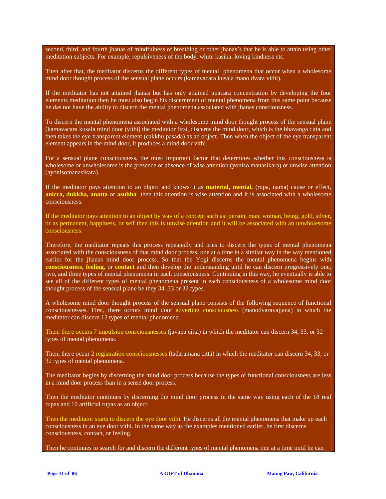second, third, and fourth jhanas of mindfulness of breathing or other jhanas's that he is able to attain using other meditation subjects. For example, repulsiveness of the body, white kasina, loving kindness etc.

Then after that, the meditator discerns the different types of mental phenomena that occur when a wholesome mind door thought process of the sensual plane occurs (kamavacara kusala mano dvara vithi).

If the meditator has not attained jhanas but has only attained upacara concentration by developing the four elements meditation then he must also begin his discernment of mental phenomena from this same point because he das not have the ability to discern the mental phenomena associated with jhanas consciousness.

To discern the mental phenomena associated with a wholesome mind door thought process of the sensual plane (kamavacara kusala mind door (vithi) the meditator first, discerns the mind door, which is the bhavanga citta and then takes the eye transparent element (cakkhu pasada) as an object. Then when the object of the eye transparent element appears in the mind door, it produces a mind door vithi.

For a sensual plane consciousness, the most important factor that determines whether this consciousness is wholesome or unwholesome is the presence or absence of wise attention (yoniso manasikara) or unwise attention (ayonisomanasikara).

If the meditator pays attention to an object and knows it as **material, mental,** (rupa, nama) cause or effect, **anicca, dukkha, anatta** or **asubha** then this attention is wise attention and it is associated with a wholesome consciousness.

If the meditator pays attention to an object by way of a concept such as: person, man, woman, being, gold, silver, or as permanent, happiness, or self then this is unwise attention and it will be associated with an unwholesome consciousness.

Therefore, the meditator repeats this process repeatedly and tries to discern the types of mental phenomena associated with the consciousness of that mind door process, one at a time in a similar way in the way mentioned earlier for the jhanas mind door process. So that the Yogi discerns the mental phenomena begins with **consciousness, feeling,** or **contact** and then develop the understanding until he can discern progressively one, two, and three types of mental phenomena in each consciousness. Continuing in this way, he eventually is able to see all of the different types of mental phenomena present in each consciousness of a wholesome mind door thought process of the sensual plane be they 34 ,33 or 32.types.

A wholesome mind door thought process of the sensual plane consists of the following sequence of functional consciousnesses. First, there occurs mind door adverting consciousness (manodvaravajjana) in which the meditator can discern 12 types of mental phenomena.

Then, there occurs 7 impulsion consciousnesses (javana citta) in which the meditator can discern 34, 33, or 32 types of mental phenomena.

Then, there occur 2 registration consciousnesses (tadaramana citta) in which the meditator can discern 34, 33, or 32 types of mental phenomena.

The meditator begins by discerning the mind door process because the types of functional consciousness are less in a mind door process than in a sense door process.

Then the meditator continues by discerning the mind door process in the same way using each of the 18 real rupas and 10 artificial rupas as an object.

Then the meditator starts to discern the eye door vithi. He discerns all the mental phenomena that make up each consciousness in an eye door vithi. In the same way as the examples mentioned earlier, he first discerns consciousness, contact, or feeling.

Then he continues to search for and discern the different types of mental phenomena one at a time until he can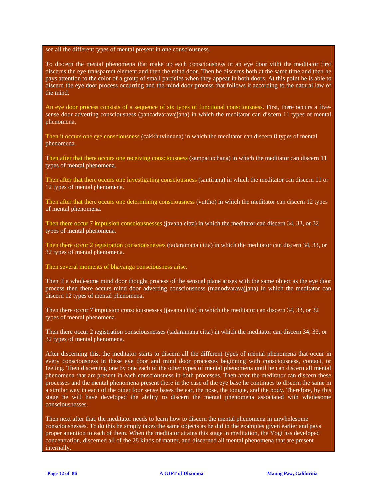#### see all the different types of mental present in one consciousness.

To discern the mental phenomena that make up each consciousness in an eye door vithi the meditator first discerns the eye transparent element and then the mind door. Then he discerns both at the same time and then he pays attention to the color of a group of small particles when they appear in both doors. At this point he is able to discern the eye door process occurring and the mind door process that follows it according to the natural law of the mind.

An eye door process consists of a sequence of six types of functional consciousness. First, there occurs a fivesense door adverting consciousness (pancadvaravajjana) in which the meditator can discern 11 types of mental phenomena.

Then it occurs one eye consciousness (cakkhuvinnana) in which the meditator can discern 8 types of mental phenomena.

Then after that there occurs one receiving consciousness (sampaticchana) in which the meditator can discern 11 types of mental phenomena.

Then after that there occurs one investigating consciousness (santirana) in which the meditator can discern 11 or 12 types of mental phenomena.

Then after that there occurs one determining consciousness (vuttho) in which the meditator can discern 12 types of mental phenomena.

Then there occur 7 impulsion consciousnesses (javana citta) in which the meditator can discern 34, 33, or 32 types of mental phenomena.

Then there occur 2 registration consciousnesses (tadaramana citta) in which the meditator can discern 34, 33, or 32 types of mental phenomena.

Then several moments of bhavanga consciousness arise.

Then if a wholesome mind door thought process of the sensual plane arises with the same object as the eye door process then there occurs mind door adverting consciousness (manodvaravajjana) in which the meditator can discern 12 types of mental phenomena.

Then there occur 7 impulsion consciousnesses (javana citta) in which the meditator can discern 34, 33, or 32 types of mental phenomena.

Then there occur 2 registration consciousnesses (tadaramana citta) in which the meditator can discern 34, 33, or 32 types of mental phenomena.

After discerning this, the meditator starts to discern all the different types of mental phenomena that occur in every consciousness in these eye door and mind door processes beginning with consciousness, contact, or feeling. Then discerning one by one each of the other types of mental phenomena until he can discern all mental phenomena that are present in each consciousness in both processes. Then after the meditator can discern these processes and the mental phenomena present there in the case of the eye base he continues to discern the same in a similar way in each of the other four sense bases the ear, the nose, the tongue, and the body. Therefore, by this stage he will have developed the ability to discern the mental phenomena associated with wholesome consciousnesses.

Then next after that, the meditator needs to learn how to discern the mental phenomena in unwholesome consciousnesses. To do this he simply takes the same objects as he did in the examples given earlier and pays proper attention to each of them. When the meditator attains this stage in meditation, the Yogi has developed concentration, discerned all of the 28 kinds of matter, and discerned all mental phenomena that are present internally.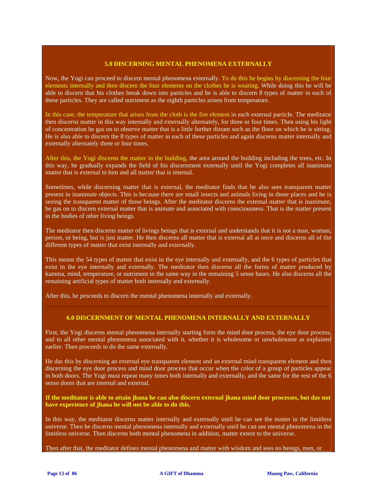# **5.0 DISCERNING MENTAL PHENOMENA EXTERNALLY**

Now, the Yogi can proceed to discern mental phenomena externally. To do this he begins by discerning the four elements internally and then discern the four elements on the clothes he is wearing. While doing this he will be able to discern that his clothes break down into particles and he is able to discern 8 types of matter in each of these particles. They are called nutriment as the eighth particles arisen from temperature.

In this case, the temperature that arises from the cloth is the fire element in each external particle. The meditator then discerns matter in this way internally and externally alternately, for three or four times. Then using his light of concentration he gas on to observe matter that is a little further distant such as the floor on which he is sitting. He is also able to discern the 8 types of matter in each of these particles and again discerns matter internally and externally alternately three or four times.

After this, the Yogi discerns the matter in the building, the area around the building including the trees, etc. In this way, he gradually expands the field of his discernment externally until the Yogi completes all inanimate matter that is external to him and all matter that is internal.

Sometimes, while discerning matter that is external, the meditator finds that he also sees transparent matter present in inanimate objects. This is because there are small insects and animals living in those places and he is seeing the transparent matter of those beings. After the meditator discerns the external matter that is inanimate, he gas on to discern external matter that is animate and associated with consciousness. That is the matter present in the bodies of other living beings.

The meditator then discerns matter of livings beings that is external and understands that it is not a man, woman, person, or being, but is just matter. He then discerns all matter that is external all at once and discerns all of the different types of matter that exist internally and externally.

This means the 54 types of matter that exist in the eye internally and externally, and the 6 types of particles that exist in the eye internally and externally. The meditator then discerns all the forms of matter produced by kamma, mind, temperature, or nutriment in the same way in the remaining 5 sense bases. He also discerns all the remaining artificial types of matter both internally and externally.

After this, he proceeds to discern the mental phenomena internally and externally.

# **6.0 DISCERNMENT OF MENTAL PHENOMENA INTERNALLY AND EXTERNALLY**

First, the Yogi discerns mental phenomena internally starting form the mind door process, the eye door process, and to all other mental phenomena associated with it, whether it is wholesome or unwholesome as explained earlier. Then proceeds to do the same externally.

He das this by discerning an external eye transparent element and an external mind transparent element and then discerning the eye door process and mind door process that occur when the color of a group of particles appear in both doors. The Yogi must repeat many times both internally and externally, and the same for the rest of the 6 sense doors that are internal and external.

**If the meditator is able to attain jhana he can also discern external jhana mind door processes, but das not have experience of jhana he will not be able to do this.** 

In this way, the meditator discerns matter internally and externally until he can see the matter in the limitless universe. Then he discerns mental phenomena internally and externally until he can see mental phenomena in the limitless universe. Then discerns both mental phenomena in addition, matter extent to the universe.

Then after that, the meditator defines mental phenomena and matter with wisdom and sees no beings, men, or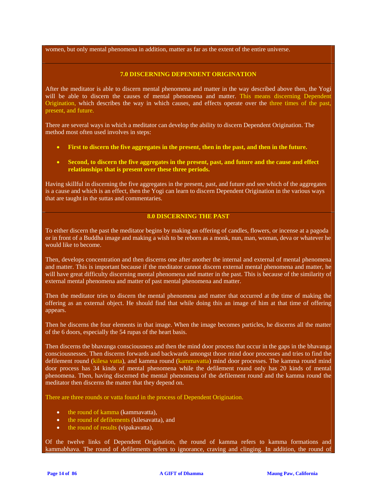women, but only mental phenomena in addition, matter as far as the extent of the entire universe.

#### **7.0 DISCERNING DEPENDENT ORIGINATION**

After the meditator is able to discern mental phenomena and matter in the way described above then, the Yogi will be able to discern the causes of mental phenomena and matter. This means discerning Dependent Origination, which describes the way in which causes, and effects operate over the three times of the past, present, and future.

There are several ways in which a meditator can develop the ability to discern Dependent Origination. The method most often used involves in steps:

- **First to discern the five aggregates in the present, then in the past, and then in the future.**
- **Second, to discern the five aggregates in the present, past, and future and the cause and effect relationships that is present over these three periods.**

Having skillful in discerning the five aggregates in the present, past, and future and see which of the aggregates is a cause and which is an effect, then the Yogi can learn to discern Dependent Origination in the various ways that are taught in the suttas and commentaries.

# **8.0 DISCERNING THE PAST**

To either discern the past the meditator begins by making an offering of candles, flowers, or incense at a pagoda or in front of a Buddha image and making a wish to be reborn as a monk, nun, man, woman, deva or whatever he would like to become.

Then, develops concentration and then discerns one after another the internal and external of mental phenomena and matter. This is important because if the meditator cannot discern external mental phenomena and matter, he will have great difficulty discerning mental phenomena and matter in the past. This is because of the similarity of external mental phenomena and matter of past mental phenomena and matter.

Then the meditator tries to discern the mental phenomena and matter that occurred at the time of making the offering as an external object. He should find that while doing this an image of him at that time of offering appears.

Then he discerns the four elements in that image. When the image becomes particles, he discerns all the matter of the 6 doors, especially the 54 rupas of the heart basis.

Then discerns the bhavanga consciousness and then the mind door process that occur in the gaps in the bhavanga consciousnesses. Then discerns forwards and backwards amongst those mind door processes and tries to find the defilement round (kilesa vatta), and kamma round (kammavatta) mind door processes. The kamma round mind door process has 34 kinds of mental phenomena while the defilement round only has 20 kinds of mental phenomena. Then, having discerned the mental phenomena of the defilement round and the kamma round the meditator then discerns the matter that they depend on.

There are three rounds or vatta found in the process of Dependent Origination.

- the round of kamma (kammavatta),
- the round of defilements (kilesavatta), and
- the round of results (vipakavatta).

Of the twelve links of Dependent Origination, the round of kamma refers to kamma formations and kammabhava. The round of defilements refers to ignorance, craving and clinging. In addition, the round of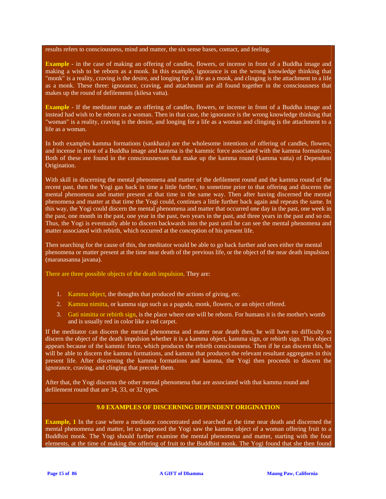# results refers to consciousness, mind and matter, the six sense bases, contact, and feeling.

**Example** - in the case of making an offering of candles, flowers, or incense in front of a Buddha image and making a wish to be reborn as a monk. In this example, ignorance is on the wrong knowledge thinking that "monk" is a reality, craving is the desire, and longing for a life as a monk, and clinging is the attachment to a life as a monk. These three: ignorance, craving, and attachment are all found together in the consciousness that makes up the round of defilements (kilesa vatta).

**Example** - If the meditator made an offering of candles, flowers, or incense in front of a Buddha image and instead had wish to be reborn as a woman. Then in that case, the ignorance is the wrong knowledge thinking that "woman" is a reality, craving is the desire, and longing for a life as a woman and clinging is the attachment to a life as a woman.

In both examples kamma formations (sankhara) are the wholesome intentions of offering of candles, flowers, and incense in front of a Buddha image and kamma is the kammic force associated with the kamma formations. Both of these are found in the consciousnesses that make up the kamma round (kamma vatta) of Dependent Origination.

With skill in discerning the mental phenomena and matter of the defilement round and the kamma round of the recent past, then the Yogi gas back in time a little further, to sometime prior to that offering and discerns the mental phenomena and matter present at that time in the same way. Then after having discerned the mental phenomena and matter at that time the Yogi could, continues a little further back again and repeats the same. In this way, the Yogi could discern the mental phenomena and matter that occurred one day in the past, one week in the past, one month in the past, one year in the past, two years in the past, and three years in the past and so on. Thus, the Yogi is eventually able to discern backwards into the past until he can see the mental phenomena and matter associated with rebirth, which occurred at the conception of his present life.

Then searching for the cause of this, the meditator would be able to go back further and sees either the mental phenomena or matter present at the time near death of the previous life, or the object of the near death impulsion (maranasanna javana).

There are three possible objects of the death impulsion. They are:

- 1. Kamma object, the thoughts that produced the actions of giving, etc.
- 2. Kamma nimitta, or kamma sign such as a pagoda, monk, flowers, or an object offered.
- 3. Gati nimitta or rebirth sign, is the place where one will be reborn. For humans it is the mother's womb and is usually red in color like a red carpet.

If the meditator can discern the mental phenomena and matter near death then, he will have no difficulty to discern the object of the death impulsion whether it is a kamma object, kamma sign, or rebirth sign. This object appears because of the kammic force, which produces the rebirth consciousness. Then if he can discern this, he will be able to discern the kamma formations, and kamma that produces the relevant resultant aggregates in this present life. After discerning the kamma formations and kamma, the Yogi then proceeds to discern the ignorance, craving, and clinging that precede them.

After that, the Yogi discerns the other mental phenomena that are associated with that kamma round and defilement round that are 34, 33, or 32 types.

# **9.0 EXAMPLES OF DISCERNING DEPENDENT ORIGINATION**

**Example, 1** In the case where a meditator concentrated and searched at the time near death and discerned the mental phenomena and matter, let us supposed the Yogi saw the kamma object of a woman offering fruit to a Buddhist monk. The Yogi should further examine the mental phenomena and matter, starting with the four elements, at the time of making the offering of fruit to the Buddhist monk. The Yogi found that she then found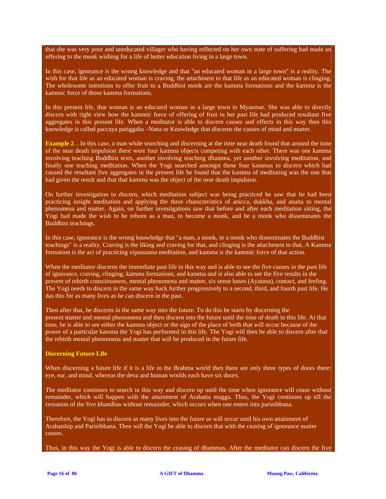that she was very poor and uneducated villager who having reflected on her own state of suffering had made an offering to the monk wishing for a life of better education living in a large town.

In this case, ignorance is the wrong knowledge and that "an educated woman in a large town" is a reality. The wish for that life as an educated woman is craving, the attachment to that life as an educated woman is clinging. The wholesome intentions to offer fruit to a Buddhist monk are the kamma formations and the kamma is the kammic force of those kamma formations.

In this present life, that woman is an educated woman in a large town in Myanmar. She was able to directly discern with right view how the kammic force of offering of fruit in her past life had produced resultant five aggregates in this present life. When a meditator is able to discern causes and effects in this way then this knowledge is called paccaya pariggaha –Nana or Knowledge that discerns the causes of mind and matter.

**Example 2.** . In this case, a man while searching and discerning at the time near death found that around the time of the near death impulsion there were four kamma objects competing with each other. There was one kamma involving teaching Buddhist texts, another involving teaching dhamma, yet another involving meditation, and finally one teaching meditation. When the Yogi searched amongst these four kammas to discern which had caused the resultant five aggregates in the present life he found that the kamma of meditating was the one that had given the result and that that kamma was the object of the near death impulsion.

On further investigation to discern, which meditation subject was being practiced he saw that he had been practicing insight meditation and applying the three characteristics of anicca, dukkha, and anatta to mental phenomena and matter. Again, on further investigations saw that before and after each meditation sitting, the Yogi had made the wish to be reborn as a man, to become a monk, and be a monk who disseminates the Buddhist teachings.

In this case, ignorance is the wrong knowledge that "a man, a monk, or a monk who disseminates the Buddhist teachings" is a reality. Craving is the liking and craving for that, and clinging is the attachment to that. A Kamma formation is the act of practicing vipassanna meditation, and kamma is the kammic force of that action.

When the meditator discerns the immediate past life in this way and is able to see the five causes in the past life of ignorance, craving, clinging, kamma formations, and kamma and is also able to see the five results in the present of rebirth consciousness, mental phenomena and matter, six sense bases (Ayatana), contact, and feeling. The Yogi needs to discern in the same way back further progressively to a second, third, and fourth past life. He das this for as many lives as he can discern in the past.

Then after that, he discerns in the same way into the future. To do this he starts by discerning the present matter and mental phenomena and then discern into the future until the time of death in this life. At that time, he is able to see either the kamma object or the sign of the place of birth that will occur because of the power of a particular kamma the Yogi has performed in this life. The Yogi will then be able to discern after that the rebirth mental phenomena and matter that will be produced in the future life.

# **Discerning Future Life**

When discerning a future life if it is a life in the Brahma world then there are only three types of doors there: eye, ear, and mind, whereas the deva and human worlds each have six doors.

The meditator continues to search in this way and discern up until the time when ignorance will cease without remainder, which will happen with the attainment of Arahatta magga. Thus, the Yogi continues up till the cessation of the five khandhas without remainder, which occurs when one enters into parinibbana.

Therefore, the Yogi has to discern as many lives into the future as will occur until his own attainment of Arahatship and Parinibbana. Then will the Yogi be able to discern that with the ceasing of ignorance matter ceases.

Thus, in this way the Yogi is able to discern the ceasing of dhammas. After the meditator can discern the five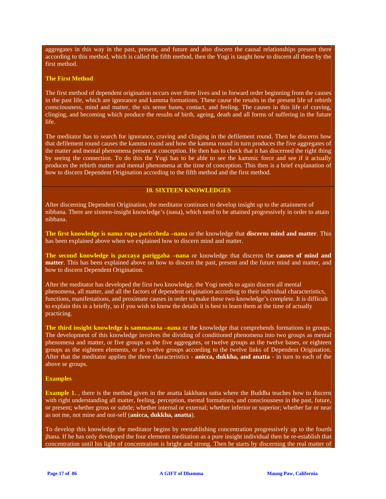aggregates in this way in the past, present, and future and also discern the causal relationships present there according to this method, which is called the fifth method, then the Yogi is taught how to discern all these by the first method.

#### **The First Method**

The first method of dependent origination occurs over three lives and in forward order beginning from the causes in the past life, which are ignorance and kamma formations. These cause the results in the present life of rebirth consciousness, mind and matter, the six sense bases, contact, and feeling. The causes in this life of craving, clinging, and becoming which produce the results of birth, ageing, death and all forms of suffering in the future life.

The meditator has to search for ignorance, craving and clinging in the defilement round. Then he discerns how that defilement round causes the kamma round and how the kamma round in turn produces the five aggregates of the matter and mental phenomena present at conception. He then has to check that it has discerned the right thing by seeing the connection. To do this the Yogi has to be able to see the kammic force and see if it actually produces the rebirth matter and mental phenomena at the time of conception. This then is a brief explanation of how to discern Dependent Origination according to the fifth method and the first method.

#### **10. SIXTEEN KNOWLEDGES**

After discerning Dependent Origination, the meditator continues to develop insight up to the attainment of nibbana. There are sixteen-insight knowledge's (nana), which need to be attained progressively in order to attain nibbana.

**The first knowledge is nama rupa pariccheda –nana** or the knowledge that **discerns mind and matter**. This has been explained above when we explained how to discern mind and matter.

**The second knowledge is paccaya pariggaha –nana** or knowledge that discerns the **causes of mind and matter**. This has been explained above on how to discern the past, present and the future mind and matter, and how to discern Dependent Origination.

After the meditator has developed the first two knowledge, the Yogi needs to again discern all mental phenomena, all matter, and all the factors of dependent origination according to their individual characteristics, functions, manifestations, and proximate causes in order to make these two knowledge's complete. It is difficult to explain this in a briefly, so if you wish to know the details it is best to learn them at the time of actually practicing.

**The third insight knowledge is sammasana –nana** or the knowledge that comprehends formations in groups. The development of this knowledge involves the dividing of conditioned phenomena into two groups as mental phenomena and matter, or five groups as the five aggregates, or twelve groups as the twelve bases, or eighteen groups as the eighteen elements, or as twelve groups according to the twelve links of Dependent Origination. After that the meditator applies the three characteristics - **anicca, dukkha, and anatta** - in turn to each of the above se groups.

#### **Examples**

**Example 1.**, there is the method given in the anatta lakkhana sutta where the Buddha teaches how to discern with right understanding all matter, feeling, perception, mental formations, and consciousness in the past, future, or present; whether gross or subtle; whether internal or external; whether inferior or superior; whether far or near as not me, not mine and not-self (**anicca, dukkha, anatta**).

To develop this knowledge the meditator begins by reestablishing concentration progressively up to the fourth jhana. If he has only developed the four elements meditation as a pure insight individual then he re-establish that concentration until his light of concentration is bright and strong. Then he starts by discerning the real matter of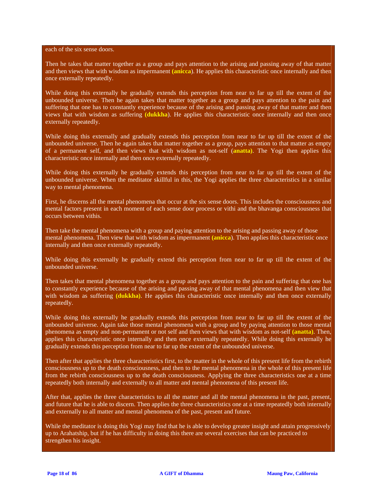#### each of the six sense doors.

Then he takes that matter together as a group and pays attention to the arising and passing away of that matter and then views that with wisdom as impermanent **(anicca**). He applies this characteristic once internally and then once externally repeatedly.

While doing this externally he gradually extends this perception from near to far up till the extent of the unbounded universe. Then he again takes that matter together as a group and pays attention to the pain and suffering that one has to constantly experience because of the arising and passing away of that matter and then views that with wisdom as suffering **(dukkha**). He applies this characteristic once internally and then once externally repeatedly.

While doing this externally and gradually extends this perception from near to far up till the extent of the unbounded universe. Then he again takes that matter together as a group, pays attention to that matter as empty of a permanent self, and then views that with wisdom as not-self (**anatta)**. The Yogi then applies this characteristic once internally and then once externally repeatedly.

While doing this externally he gradually extends this perception from near to far up till the extent of the unbounded universe. When the meditator skillful in this, the Yogi applies the three characteristics in a similar way to mental phenomena.

First, he discerns all the mental phenomena that occur at the six sense doors. This includes the consciousness and mental factors present in each moment of each sense door process or vithi and the bhavanga consciousness that occurs between vithis.

Then take the mental phenomena with a group and paying attention to the arising and passing away of those mental phenomena. Then view that with wisdom as impermanent **(anicca**). Then applies this characteristic once internally and then once externally repeatedly.

While doing this externally he gradually extend this perception from near to far up till the extent of the unbounded universe.

Then takes that mental phenomena together as a group and pays attention to the pain and suffering that one has to constantly experience because of the arising and passing away of that mental phenomena and then view that with wisdom as suffering **(dukkha)**. He applies this characteristic once internally and then once externally repeatedly.

While doing this externally he gradually extends this perception from near to far up till the extent of the unbounded universe. Again take those mental phenomena with a group and by paying attention to those mental phenomena as empty and non-permanent or not self and then views that with wisdom as not-self **(anatta)**. Then, applies this characteristic once internally and then once externally repeatedly. While doing this externally he gradually extends this perception from near to far up the extent of the unbounded universe.

Then after that applies the three characteristics first, to the matter in the whole of this present life from the rebirth consciousness up to the death consciousness, and then to the mental phenomena in the whole of this present life from the rebirth consciousness up to the death consciousness. Applying the three characteristics one at a time repeatedly both internally and externally to all matter and mental phenomena of this present life.

After that, applies the three characteristics to all the matter and all the mental phenomena in the past, present, and future that he is able to discern. Then applies the three characteristics one at a time repeatedly both internally and externally to all matter and mental phenomena of the past, present and future.

While the meditator is doing this Yogi may find that he is able to develop greater insight and attain progressively up to Arahatship, but if he has difficulty in doing this there are several exercises that can be practiced to strengthen his insight.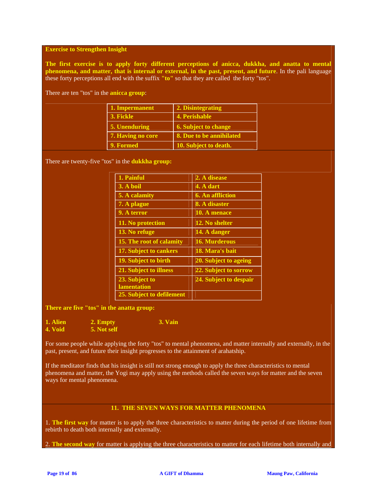#### **Exercise to Strengthen Insight**

**The first exercise is to apply forty different perceptions of anicca, dukkha, and anatta to mental phenomena, and matter, that is internal or external, in the past, present, and future**. In the pali language these forty perceptions all end with the suffix **"to"** so that they are called the forty "tos".

There are ten "tos" in the **anicca group**:

| 1. Impermanent    | 2. Disintegrating           |
|-------------------|-----------------------------|
| 3. Fickle         | 4. Perishable               |
| 5. Unenduring     | <b>6. Subject to change</b> |
| 7. Having no core | 8. Due to be annihilated    |
| 9. Formed         | 10. Subject to death.       |

There are twenty-five "tos" in the **dukkha group:**

| 1. Painful                | 2. A disease            |
|---------------------------|-------------------------|
| 3. A boil                 | 4. A dart               |
| 5. A calamity             | <b>6. An affliction</b> |
| 7. A plague               | 8. A disaster           |
| 9. A terror               | 10. A menace            |
| 11. No protection         | 12. No shelter          |
| 13. No refuge             | 14. A danger            |
| 15. The root of calamity  | <b>16. Murderous</b>    |
| 17. Subject to cankers    | 18. Mara's bait         |
| 19. Subject to birth      | 20. Subject to ageing   |
| 21. Subject to illness    | 22. Subject to sorrow   |
| 23. Subject to            | 24. Subject to despair  |
| <b>lamentation</b>        |                         |
| 25. Subject to defilement |                         |

**There are five "tos" in the anatta group:**

| 1. Alien | 2. Empty    | 3. Vain |
|----------|-------------|---------|
| 4. Void  | 5. Not self |         |

For some people while applying the forty "tos" to mental phenomena, and matter internally and externally, in the past, present, and future their insight progresses to the attainment of arahatship.

If the meditator finds that his insight is still not strong enough to apply the three characteristics to mental phenomena and matter, the Yogi may apply using the methods called the seven ways for matter and the seven ways for mental phenomena.

# **11. THE SEVEN WAYS FOR MATTER PHENOMENA**

1. **The first way** for matter is to apply the three characteristics to matter during the period of one lifetime from rebirth to death both internally and externally.

2. **The second way** for matter is applying the three characteristics to matter for each lifetime both internally and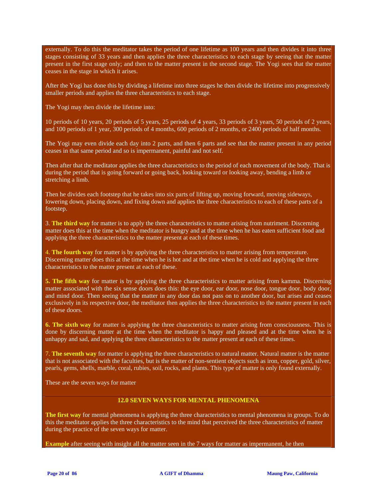externally. To do this the meditator takes the period of one lifetime as 100 years and then divides it into three stages consisting of 33 years and then applies the three characteristics to each stage by seeing that the matter present in the first stage only; and then to the matter present in the second stage. The Yogi sees that the matter ceases in the stage in which it arises.

After the Yogi has done this by dividing a lifetime into three stages he then divide the lifetime into progressively smaller periods and applies the three characteristics to each stage.

The Yogi may then divide the lifetime into:

10 periods of 10 years, 20 periods of 5 years, 25 periods of 4 years, 33 periods of 3 years, 50 periods of 2 years, and 100 periods of 1 year, 300 periods of 4 months, 600 periods of 2 months, or 2400 periods of half months.

The Yogi may even divide each day into 2 parts, and then 6 parts and see that the matter present in any period ceases in that same period and so is impermanent, painful and not self.

Then after that the meditator applies the three characteristics to the period of each movement of the body. That is during the period that is going forward or going back, looking toward or looking away, bending a limb or stretching a limb.

Then he divides each footstep that he takes into six parts of lifting up, moving forward, moving sideways, lowering down, placing down, and fixing down and applies the three characteristics to each of these parts of a footstep.

3. **The third way** for matter is to apply the three characteristics to matter arising from nutriment. Discerning matter does this at the time when the meditator is hungry and at the time when he has eaten sufficient food and applying the three characteristics to the matter present at each of these times.

4. **The fourth way** for matter is by applying the three characteristics to matter arising from temperature. Discerning matter does this at the time when he is hot and at the time when he is cold and applying the three characteristics to the matter present at each of these.

**5. The fifth way** for matter is by applying the three characteristics to matter arising from kamma. Discerning matter associated with the six sense doors does this: the eye door, ear door, nose door, tongue door, body door, and mind door. Then seeing that the matter in any door das not pass on to another door, but arises and ceases exclusively in its respective door, the meditator then applies the three characteristics to the matter present in each of these doors.

**6. The sixth way** for matter is applying the three characteristics to matter arising from consciousness. This is done by discerning matter at the time when the meditator is happy and pleased and at the time when he is unhappy and sad, and applying the three characteristics to the matter present at each of these times.

7. **The seventh way** for matter is applying the three characteristics to natural matter. Natural matter is the matter that is not associated with the faculties, but is the matter of non-sentient objects such as iron, copper, gold, silver, pearls, gems, shells, marble, coral, rubies, soil, rocks, and plants. This type of matter is only found externally.

These are the seven ways for matter

# **12.0 SEVEN WAYS FOR MENTAL PHENOMENA**

**The first way** for mental phenomena is applying the three characteristics to mental phenomena in groups. To do this the meditator applies the three characteristics to the mind that perceived the three characteristics of matter during the practice of the seven ways for matter.

**Example** after seeing with insight all the matter seen in the 7 ways for matter as impermanent, he then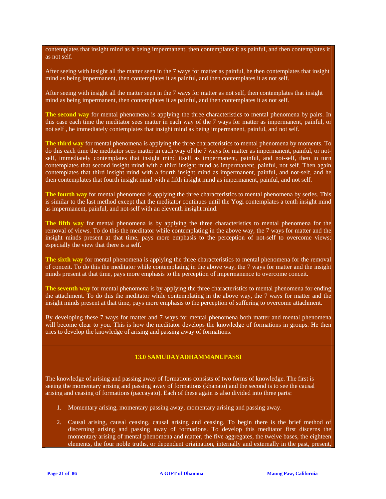contemplates that insight mind as it being impermanent, then contemplates it as painful, and then contemplates it as not self.

After seeing with insight all the matter seen in the 7 ways for matter as painful, he then contemplates that insight mind as being impermanent, then contemplates it as painful, and then contemplates it as not self.

After seeing with insight all the matter seen in the 7 ways for matter as not self, then contemplates that insight mind as being impermanent, then contemplates it as painful, and then contemplates it as not self.

**The second way** for mental phenomena is applying the three characteristics to mental phenomena by pairs. In this case each time the meditator sees matter in each way of the 7 ways for matter as impermanent, painful, or not self , he immediately contemplates that insight mind as being impermanent, painful, and not self.

**The third way** for mental phenomena is applying the three characteristics to mental phenomena by moments. To do this each time the meditator sees matter in each way of the 7 ways for matter as impermanent, painful, or notself, immediately contemplates that insight mind itself as impermanent, painful, and not-self, then in turn contemplates that second insight mind with a third insight mind as impermanent, painful, not self. Then again contemplates that third insight mind with a fourth insight mind as impermanent, painful, and not-self, and he then contemplates that fourth insight mind with a fifth insight mind as impermanent, painful, and not self.

**The fourth way** for mental phenomena is applying the three characteristics to mental phenomena by series. This is similar to the last method except that the meditator continues until the Yogi contemplates a tenth insight mind as impermanent, painful, and not-self with an eleventh insight mind.

**The fifth way** for mental phenomena is by applying the three characteristics to mental phenomena for the removal of views. To do this the meditator while contemplating in the above way, the 7 ways for matter and the insight minds present at that time, pays more emphasis to the perception of not-self to overcome views; especially the view that there is a self.

**The sixth way** for mental phenomena is applying the three characteristics to mental phenomena for the removal of conceit. To do this the meditator while contemplating in the above way, the 7 ways for matter and the insight minds present at that time, pays more emphasis to the perception of impermanence to overcome conceit.

**The seventh way** for mental phenomena is by applying the three characteristics to mental phenomena for ending the attachment. To do this the meditator while contemplating in the above way, the 7 ways for matter and the insight minds present at that time, pays more emphasis to the perception of suffering to overcome attachment.

By developing these 7 ways for matter and 7 ways for mental phenomena both matter and mental phenomena will become clear to you. This is how the meditator develops the knowledge of formations in groups. He then tries to develop the knowledge of arising and passing away of formations.

# **13.0 SAMUDAYADHAMMANUPASSI**

The knowledge of arising and passing away of formations consists of two forms of knowledge. The first is seeing the momentary arising and passing away of formations (khanato) and the second is to see the causal arising and ceasing of formations (paccayato). Each of these again is also divided into three parts:

- 1. Momentary arising, momentary passing away, momentary arising and passing away.
- 2. Causal arising, causal ceasing, causal arising and ceasing. To begin there is the brief method of discerning arising and passing away of formations. To develop this meditator first discerns the momentary arising of mental phenomena and matter, the five aggregates, the twelve bases, the eighteen elements, the four noble truths, or dependent origination, internally and externally in the past, present,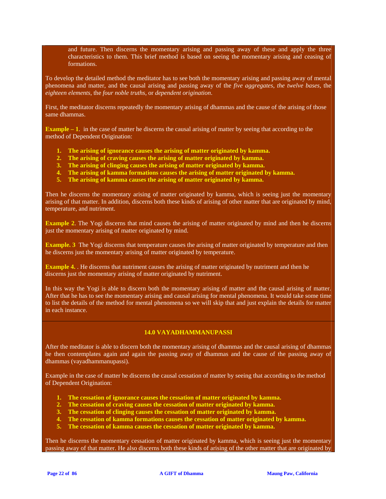and future. Then discerns the momentary arising and passing away of these and apply the three characteristics to them. This brief method is based on seeing the momentary arising and ceasing of formations.

To develop the detailed method the meditator has to see both the momentary arising and passing away of mental phenomena and matter, and the causal arising and passing away of the *five aggregates*, *the twelve bases*, the *eighteen elements*, the *four noble truths*, or *dependent origination*.

First, the meditator discerns repeatedly the momentary arising of dhammas and the cause of the arising of those same dhammas.

**Example – 1**. in the case of matter he discerns the causal arising of matter by seeing that according to the method of Dependent Origination:

- **1. The arising of ignorance causes the arising of matter originated by kamma.**
- **2. The arising of craving causes the arising of matter originated by kamma.**
- **3. The arising of clinging causes the arising of matter originated by kamma.**
- **4. The arising of kamma formations causes the arising of matter originated by kamma.**
- **5. The arising of kamma causes the arising of matter originated by kamma.**

Then he discerns the momentary arising of matter originated by kamma, which is seeing just the momentary arising of that matter. In addition, discerns both these kinds of arising of other matter that are originated by mind, temperature, and nutriment.

**Example 2**. The Yogi discerns that mind causes the arising of matter originated by mind and then he discerns just the momentary arising of matter originated by mind.

**Example. 3** The Yogi discerns that temperature causes the arising of matter originated by temperature and then he discerns just the momentary arising of matter originated by temperature.

**Example 4.** . He discerns that nutriment causes the arising of matter originated by nutriment and then he discerns just the momentary arising of matter originated by nutriment.

In this way the Yogi is able to discern both the momentary arising of matter and the causal arising of matter. After that he has to see the momentary arising and causal arising for mental phenomena. It would take some time to list the details of the method for mental phenomena so we will skip that and just explain the details for matter in each instance.

# **14.0 VAYADHAMMANUPASSI**

After the meditator is able to discern both the momentary arising of dhammas and the causal arising of dhammas he then contemplates again and again the passing away of dhammas and the cause of the passing away of dhammas (vayadhammanupassi).

Example in the case of matter he discerns the causal cessation of matter by seeing that according to the method of Dependent Origination:

- **1. The cessation of ignorance causes the cessation of matter originated by kamma.**
- **2. The cessation of craving causes the cessation of matter originated by kamma.**
- **3. The cessation of clinging causes the cessation of matter originated by kamma.**
- **4. The cessation of kamma formations causes the cessation of matter originated by kamma.**
- **5. The cessation of kamma causes the cessation of matter originated by kamma.**

Then he discerns the momentary cessation of matter originated by kamma, which is seeing just the momentary passing away of that matter. He also discerns both these kinds of arising of the other matter that are originated by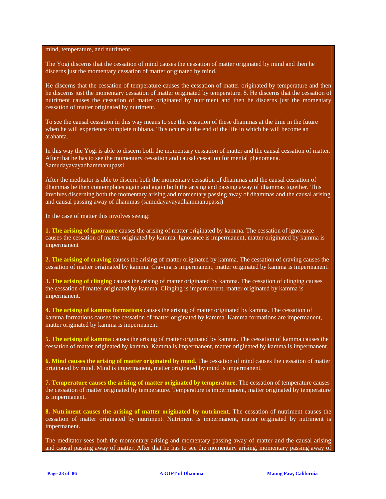#### mind, temperature, and nutriment.

The Yogi discerns that the cessation of mind causes the cessation of matter originated by mind and then he discerns just the momentary cessation of matter originated by mind.

He discerns that the cessation of temperature causes the cessation of matter originated by temperature and then he discerns just the momentary cessation of matter originated by temperature. 8. He discerns that the cessation of nutriment causes the cessation of matter originated by nutriment and then he discerns just the momentary cessation of matter originated by nutriment.

To see the causal cessation in this way means to see the cessation of these dhammas at the time in the future when he will experience complete nibbana. This occurs at the end of the life in which he will become an arahanta.

In this way the Yogi is able to discern both the momentary cessation of matter and the causal cessation of matter. After that he has to see the momentary cessation and causal cessation for mental phenomena. Samudayavayadhammanupassi

After the meditator is able to discern both the momentary cessation of dhammas and the causal cessation of dhammas he then contemplates again and again both the arising and passing away of dhammas together. This involves discerning both the momentary arising and momentary passing away of dhammas and the causal arising and causal passing away of dhammas (samudayavayadhammanupassi).

In the case of matter this involves seeing:

**1. The arising of ignorance** causes the arising of matter originated by kamma. The cessation of ignorance causes the cessation of matter originated by kamma. Ignorance is impermanent, matter originated by kamma is impermanent

**2. The arising of craving** causes the arising of matter originated by kamma. The cessation of craving causes the cessation of matter originated by kamma. Craving is impermanent, matter originated by kamma is impermanent.

**3. The arising of clinging** causes the arising of matter originated by kamma. The cessation of clinging causes the cessation of matter originated by kamma. Clinging is impermanent, matter originated by kamma is impermanent.

**4. The arising of kamma formations** causes the arising of matter originated by kamma. The cessation of kamma formations causes the cessation of matter originated by kamma. Kamma formations are impermanent, matter originated by kamma is impermanent.

**5. The arising of kamma** causes the arising of matter originated by kamma. The cessation of kamma causes the cessation of matter originated by kamma. Kamma is impermanent, matter originated by kamma is impermanent.

**6. Mind causes the arising of matter originated by mind**. The cessation of mind causes the cessation of matter originated by mind. Mind is impermanent, matter originated by mind is impermanent.

**7. Temperature causes the arising of matter originated by temperature**. The cessation of temperature causes the cessation of matter originated by temperature. Temperature is impermanent, matter originated by temperature is impermanent.

**8. Nutriment causes the arising of matter originated by nutriment**. The cessation of nutriment causes the cessation of matter originated by nutriment. Nutriment is impermanent, matter originated by nutriment is impermanent.

The meditator sees both the momentary arising and momentary passing away of matter and the causal arising and causal passing away of matter. After that he has to see the momentary arising, momentary passing away of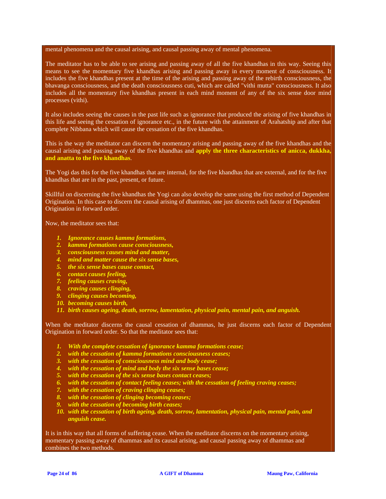# mental phenomena and the causal arising, and causal passing away of mental phenomena.

The meditator has to be able to see arising and passing away of all the five khandhas in this way. Seeing this means to see the momentary five khandhas arising and passing away in every moment of consciousness. It includes the five khandhas present at the time of the arising and passing away of the rebirth consciousness, the bhavanga consciousness, and the death consciousness cuti, which are called "vithi mutta" consciousness. It also includes all the momentary five khandhas present in each mind moment of any of the six sense door mind processes (vithi).

It also includes seeing the causes in the past life such as ignorance that produced the arising of five khandhas in this life and seeing the cessation of ignorance etc., in the future with the attainment of Arahatship and after that complete Nibbana which will cause the cessation of the five khandhas.

This is the way the meditator can discern the momentary arising and passing away of the five khandhas and the causal arising and passing away of the five khandhas and **apply the three characteristics of anicca, dukkha, and anatta to the five khandhas**.

The Yogi das this for the five khandhas that are internal, for the five khandhas that are external, and for the five khandhas that are in the past, present, or future.

Skillful on discerning the five khandhas the Yogi can also develop the same using the first method of Dependent Origination. In this case to discern the causal arising of dhammas, one just discerns each factor of Dependent Origination in forward order.

Now, the meditator sees that:

- *1. Ignorance causes kamma formations,*
- *2. kamma formations cause consciousness,*
- *3. consciousness causes mind and matter,*
- *4. mind and matter cause the six sense bases,*
- *5. the six sense bases cause contact,*
- *6. contact causes feeling,*
- *7. feeling causes craving,*
- *8. craving causes clinging,*
- *9. clinging causes becoming,*
- *10. becoming causes birth,*
- *11. birth causes ageing, death, sorrow, lamentation, physical pain, mental pain, and anguish.*

When the meditator discerns the causal cessation of dhammas, he just discerns each factor of Dependent Origination in forward order. So that the meditator sees that:

- *1. With the complete cessation of ignorance kamma formations cease;*
- *2. with the cessation of kamma formations consciousness ceases;*
- *3. with the cessation of consciousness mind and body cease;*
- *4. with the cessation of mind and body the six sense bases cease;*
- *5. with the cessation of the six sense bases contact ceases;*
- *6. with the cessation of contact feeling ceases; with the cessation of feeling craving ceases;*
- *7. with the cessation of craving clinging ceases;*
- *8. with the cessation of clinging becoming ceases;*
- *9. with the cessation of becoming birth ceases;*
- *10. with the cessation of birth ageing, death, sorrow, lamentation, physical pain, mental pain, and anguish cease.*

It is in this way that all forms of suffering cease. When the meditator discerns on the momentary arising, momentary passing away of dhammas and its causal arising, and causal passing away of dhammas and combines the two methods.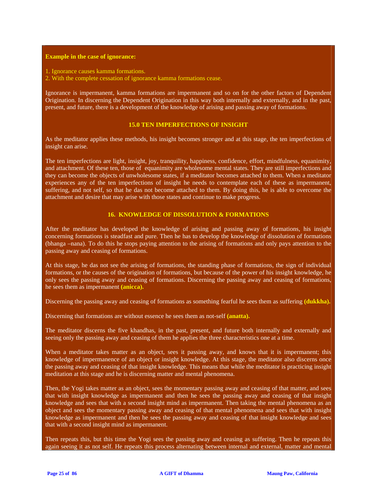# **Example in the case of ignorance:**

- 1. Ignorance causes kamma formations.
- 2. With the complete cessation of ignorance kamma formations cease.

Ignorance is impermanent, kamma formations are impermanent and so on for the other factors of Dependent Origination. In discerning the Dependent Origination in this way both internally and externally, and in the past, present, and future, there is a development of the knowledge of arising and passing away of formations.

# **15.0 TEN IMPERFECTIONS OF INSIGHT**

As the meditator applies these methods, his insight becomes stronger and at this stage, the ten imperfections of insight can arise.

The ten imperfections are light, insight, joy, tranquility, happiness, confidence, effort, mindfulness, equanimity, and attachment. Of these ten, those of equanimity are wholesome mental states. They are still imperfections and they can become the objects of unwholesome states, if a meditator becomes attached to them. When a meditator experiences any of the ten imperfections of insight he needs to contemplate each of these as impermanent, suffering, and not self, so that he das not become attached to them. By doing this, he is able to overcome the attachment and desire that may arise with those states and continue to make progress.

# **16. KNOWLEDGE OF DISSOLUTION & FORMATIONS**

After the meditator has developed the knowledge of arising and passing away of formations, his insight concerning formations is steadfast and pure. Then he has to develop the knowledge of dissolution of formations (bhanga –nana). To do this he stops paying attention to the arising of formations and only pays attention to the passing away and ceasing of formations.

At this stage, he das not see the arising of formations, the standing phase of formations, the sign of individual formations, or the causes of the origination of formations, but because of the power of his insight knowledge, he only sees the passing away and ceasing of formations. Discerning the passing away and ceasing of formations, he sees them as impermanent **(anicca).** 

Discerning the passing away and ceasing of formations as something fearful he sees them as suffering **(dukkha).**

Discerning that formations are without essence he sees them as not-self **(anatta).**

The meditator discerns the five khandhas, in the past, present, and future both internally and externally and seeing only the passing away and ceasing of them he applies the three characteristics one at a time.

When a meditator takes matter as an object, sees it passing away, and knows that it is impermanent; this knowledge of impermanence of an object or insight knowledge. At this stage, the meditator also discerns once the passing away and ceasing of that insight knowledge. This means that while the meditator is practicing insight meditation at this stage and he is discerning matter and mental phenomena.

Then, the Yogi takes matter as an object, sees the momentary passing away and ceasing of that matter, and sees that with insight knowledge as impermanent and then he sees the passing away and ceasing of that insight knowledge and sees that with a second insight mind as impermanent. Then taking the mental phenomena as an object and sees the momentary passing away and ceasing of that mental phenomena and sees that with insight knowledge as impermanent and then he sees the passing away and ceasing of that insight knowledge and sees that with a second insight mind as impermanent.

Then repeats this, but this time the Yogi sees the passing away and ceasing as suffering. Then he repeats this again seeing it as not self. He repeats this process alternating between internal and external, matter and mental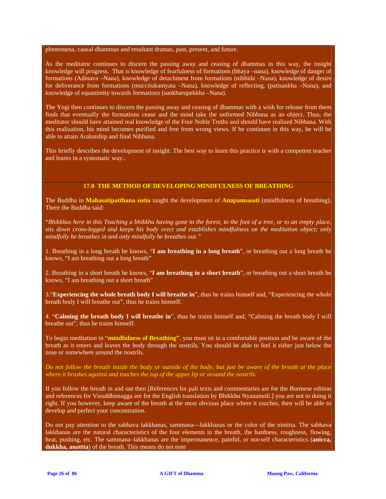phenomena, causal dhammas and resultant dramas, past, present, and future.

As the meditator continues to discern the passing away and ceasing of dhammas in this way, the insight knowledge will progress. That is knowledge of fearfulness of formations (bhaya –nana), knowledge of danger of formations (Adinava –Nana), knowledge of detachment from formations (nibbida –Nana), knowledge of desire for deliverance from formations (muccitukamyata –Nana), knowledge of reflecting, (patisankha –Nana), and knowledge of equanimity towards formations (sankharupekkha –Nana).

The Yogi then continues to discern the passing away and ceasing of dhammas with a wish for release from them finds that eventually the formations cease and the mind take the unformed Nibbana as an object. Thus, the meditator should have attained real knowledge of the Four Noble Truths and should have realized Nibbana. With this realization, his mind becomes purified and free from wrong views. If he continues in this way, he will be able to attain Arahatship and final Nibbana.

This briefly describes the development of insight. The best way to learn this practice is with a competent teacher and learns in a systematic way..

# **17.0 THE METHOD OF DEVELOPING MINDFULNESS OF BREATHING**

The Buddha in **Mahasatipatthana sutta** taught the development of **Anapannasati** (mindfulness of breathing). There the Buddha said:

"*Bhikkhus here in this Teaching a bhikkhu having gone to the forest, to the foot of a tree, or to an empty place, sits down cross-legged and keeps his body erect and establishes mindfulness on the meditation object; only mindfully he breathes in and only mindfully he breathes out."* 

1. Breathing in a long breath he knows, "**I am breathing in a long breath**", or breathing out a long breath he knows, "I am breathing out a long breath"

2. Breathing in a short breath he knows, "**I am breathing in a short breath**", or breathing out a short breath he knows, "I am breathing out a short breath"

3."**Experiencing the whole breath body I will breathe in**", thus he trains himself and, "Experiencing the whole breath body I will breathe out", thus he trains himself.

4. "**Calming the breath body I will breathe in**", thus he trains himself and, "Calming the breath body I will breathe out", thus he trains himself.

To begin meditation in "**mindfulness of Breathing"**, you must sit in a comfortable position and be aware of the breath as it enters and leaves the body through the nostrils. You should be able to feel it either just below the nose or somewhere around the nostrils.

*Do not follow the breath inside the body or outside of the body, but just be aware of the breath at the place where it brushes against and touches the top of the upper lip or around the nostrils.* 

If you follow the breath in and out then [References for pali texts and commentaries are for the Burmese edition and references for Visuddhimagga are for the English translation by Bhikkhu Nyanamoli.] you are not to doing it right. If you however, keep aware of the breath at the most obvious place where it touches, then will be able to develop and perfect your concentration.

Do not pay attention to the sabhava lakkhanas, sammana––lakkhanas or the color of the nimitta. The sabhava lakkhanas are the natural characteristics of the four elements in the breath, the hardness, roughness, flowing, heat, pushing, etc. The sammana–lakkhanas are the impermanence, painful, or not-self characteristics (**anicca, dukkha, anattta**) of the breath. This means do not note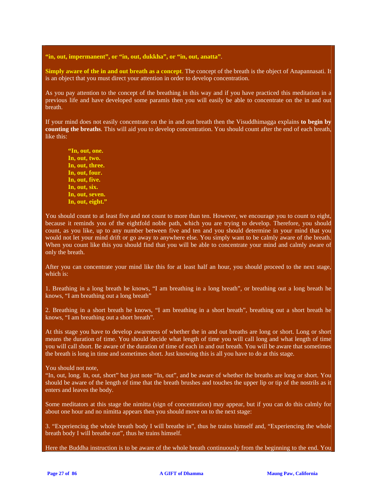**"in, out, impermanent", or "in, out, dukkha", or "in, out, anatta"**.

**Simply aware of the in and out breath as a concept**. The concept of the breath is the object of Anapannasati. It is an object that you must direct your attention in order to develop concentration.

As you pay attention to the concept of the breathing in this way and if you have practiced this meditation in a previous life and have developed some paramis then you will easily be able to concentrate on the in and out breath.

If your mind does not easily concentrate on the in and out breath then the Visuddhimagga explains **to begin by counting the breaths**. This will aid you to develop concentration. You should count after the end of each breath, like this:

**"In, out, one. In, out, two. In, out, three. In, out, four. In, out, five. In, out, six. In, out, seven. In, out, eight."** 

You should count to at least five and not count to more than ten. However, we encourage you to count to eight, because it reminds you of the eightfold noble path, which you are trying to develop. Therefore, you should count, as you like, up to any number between five and ten and you should determine in your mind that you would not let your mind drift or go away to anywhere else. You simply want to be calmly aware of the breath. When you count like this you should find that you will be able to concentrate your mind and calmly aware of only the breath.

After you can concentrate your mind like this for at least half an hour, you should proceed to the next stage, which is:

1. Breathing in a long breath he knows, "I am breathing in a long breath", or breathing out a long breath he knows, "I am breathing out a long breath"

2. Breathing in a short breath he knows, "I am breathing in a short breath", breathing out a short breath he knows, "I am breathing out a short breath".

At this stage you have to develop awareness of whether the in and out breaths are long or short. Long or short means the duration of time. You should decide what length of time you will call long and what length of time you will call short. Be aware of the duration of time of each in and out breath. You will be aware that sometimes the breath is long in time and sometimes short. Just knowing this is all you have to do at this stage.

#### You should not note,

"In, out, long. In, out, short" but just note "In, out", and be aware of whether the breaths are long or short. You should be aware of the length of time that the breath brushes and touches the upper lip or tip of the nostrils as it enters and leaves the body.

Some meditators at this stage the nimitta (sign of concentration) may appear, but if you can do this calmly for about one hour and no nimitta appears then you should move on to the next stage:

3. "Experiencing the whole breath body I will breathe in", thus he trains himself and, "Experiencing the whole breath body I will breathe out", thus he trains himself.

Here the Buddha instruction is to be aware of the whole breath continuously from the beginning to the end. You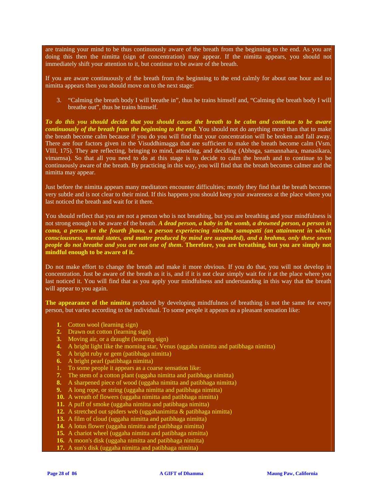are training your mind to be thus continuously aware of the breath from the beginning to the end. As you are doing this then the nimitta (sign of concentration) may appear. If the nimitta appears, you should not immediately shift your attention to it, but continue to be aware of the breath.

If you are aware continuously of the breath from the beginning to the end calmly for about one hour and no nimitta appears then you should move on to the next stage:

3. "Calming the breath body I will breathe in", thus he trains himself and, "Calming the breath body I will breathe out", thus he trains himself.

*To do this you should decide that you should cause the breath to be calm and continue to be aware continuously of the breath from the beginning to the end.* You should not do anything more than that to make the breath become calm because if you do you will find that your concentration will be broken and fall away. There are four factors given in the Visuddhimagga that are sufficient to make the breath become calm (Vsm. VIII, 175). They are reflecting, bringing to mind, attending, and deciding (Abhoga, samannahara, manasikara, vimamsa). So that all you need to do at this stage is to decide to calm the breath and to continue to be continuously aware of the breath. By practicing in this way, you will find that the breath becomes calmer and the nimitta may appear.

Just before the nimitta appears many meditators encounter difficulties; mostly they find that the breath becomes very subtle and is not clear to their mind. If this happens you should keep your awareness at the place where you last noticed the breath and wait for it there.

You should reflect that you are not a person who is not breathing, but you are breathing and your mindfulness is not strong enough to be aware of the breath. *A dead person, a baby in the womb, a drowned person, a person in coma, a person in the fourth jhana, a person experiencing nirodha samapatti (an attainment in which consciousness, mental states, and matter produced by mind are suspended), and a brahma, only these seven people do not breathe and you are not one of them***. Therefore, you are breathing, but you are simply not mindful enough to be aware of it.** 

Do not make effort to change the breath and make it more obvious. If you do that, you will not develop in concentration. Just be aware of the breath as it is, and if it is not clear simply wait for it at the place where you last noticed it. You will find that as you apply your mindfulness and understanding in this way that the breath will appear to you again.

**The appearance of the nimitta** produced by developing mindfulness of breathing is not the same for every person, but varies according to the individual. To some people it appears as a pleasant sensation like:

- **1.** Cotton wool (learning sign)
- **2.** Drawn out cotton (learning sign)
- **3.** Moving air, or a draught (learning sign)
- **4.** A bright light like the morning star, Venus (uggaha nimitta and patibhaga nimitta)
- **5.** A bright ruby or gem (patibhaga nimitta)
- **6.** A bright pearl (patibhaga nimitta)
- 1. To some people it appears as a coarse sensation like:
- **7.** The stem of a cotton plant (uggaha nimitta and patibhaga nimitta)
- **8.** A sharpened piece of wood (uggaha nimitta and patibhaga nimitta)
- **9.** A long rope, or string (uggaha nimitta and patibhaga nimitta)
- **10.** A wreath of flowers (uggaha nimitta and patibhaga nimitta)
- **11.** A puff of smoke (uggaha nimitta and patibhaga nimitta)
- **12.** A stretched out spiders web (uggahanimitta & patibhaga nimitta)
- **13.** A film of cloud (uggaha nimitta and patibhaga nimitta)
- **14.** A lotus flower (uggaha nimitta and patibhaga nimitta)
- **15.** A chariot wheel (uggaha nimitta and patibhaga nimitta)
- **16.** A moon's disk (uggaha nimitta and patibhaga nimitta)
- **17.** A sun's disk (uggaha nimitta and patibhaga nimitta)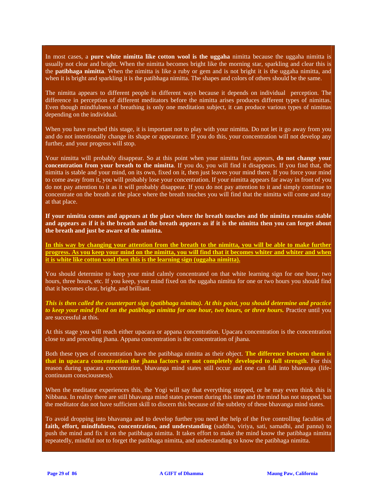In most cases, a **pure white nimitta like cotton wool is the uggaha** nimitta because the uggaha nimitta is usually not clear and bright. When the nimitta becomes bright like the morning star, sparkling and clear this is the **patibhaga nimitta**. When the nimitta is like a ruby or gem and is not bright it is the uggaha nimitta, and when it is bright and sparkling it is the patibhaga nimitta. The shapes and colors of others should be the same.

The nimitta appears to different people in different ways because it depends on individual perception. The difference in perception of different meditators before the nimitta arises produces different types of nimittas. Even though mindfulness of breathing is only one meditation subject, it can produce various types of nimittas depending on the individual.

When you have reached this stage, it is important not to play with your nimitta. Do not let it go away from you and do not intentionally change its shape or appearance. If you do this, your concentration will not develop any further, and your progress will stop.

Your nimitta will probably disappear. So at this point when your nimitta first appears, **do not change your concentration from your breath to the nimitta**. If you do, you will find it disappears. If you find that, the nimitta is stable and your mind, on its own, fixed on it, then just leaves your mind there. If you force your mind to come away from it, you will probably lose your concentration. If your nimitta appears far away in front of you do not pay attention to it as it will probably disappear. If you do not pay attention to it and simply continue to concentrate on the breath at the place where the breath touches you will find that the nimitta will come and stay at that place.

**If your nimitta comes and appears at the place where the breath touches and the nimitta remains stable and appears as if it is the breath and the breath appears as if it is the nimitta then you can forget about the breath and just be aware of the nimitta.** 

**In this way by changing your attention from the breath to the nimitta, you will be able to make further progress. As you keep your mind on the nimitta, you will find that it becomes whiter and whiter and when it is white like cotton wool then this is the learning sign (uggaha nimitta).**

You should determine to keep your mind calmly concentrated on that white learning sign for one hour, two hours, three hours, etc. If you keep, your mind fixed on the uggaha nimitta for one or two hours you should find that it becomes clear, bright, and brilliant.

*This is then called the counterpart sign (patibhaga nimitta). At this point, you should determine and practice to keep your mind fixed on the patibhaga nimitta for one hour, two hours, or three hours.* Practice until you are successful at this.

At this stage you will reach either upacara or appana concentration. Upacara concentration is the concentration close to and preceding jhana. Appana concentration is the concentration of jhana.

Both these types of concentration have the patibhaga nimitta as their object. **The difference between them is that in upacara concentration the jhana factors are not completely developed to full strength**. For this reason during upacara concentration, bhavanga mind states still occur and one can fall into bhavanga (lifecontinuum consciousness).

When the meditator experiences this, the Yogi will say that everything stopped, or he may even think this is Nibbana. In reality there are still bhavanga mind states present during this time and the mind has not stopped, but the meditator das not have sufficient skill to discern this because of the subtlety of these bhavanga mind states.

To avoid dropping into bhavanga and to develop further you need the help of the five controlling faculties of **faith, effort, mindfulness, concentration, and understanding** (saddha, viriya, sati, samadhi, and panna) to push the mind and fix it on the patibhaga nimitta. It takes effort to make the mind know the patibhaga nimitta repeatedly, mindful not to forget the patibhaga nimitta, and understanding to know the patibhaga nimitta.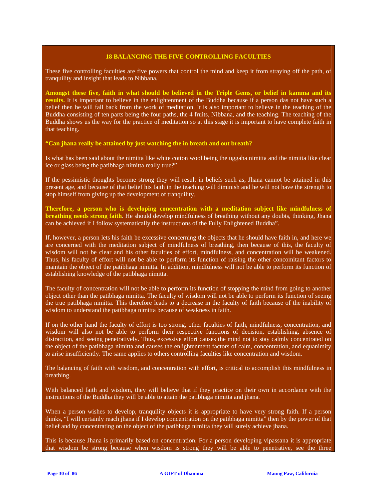# **18 BALANCING THE FIVE CONTROLLING FACULTIES**

These five controlling faculties are five powers that control the mind and keep it from straying off the path, of tranquility and insight that leads to Nibbana.

**Amongst these five, faith in what should be believed in the Triple Gems, or belief in kamma and its results.** It is important to believe in the enlightenment of the Buddha because if a person das not have such a belief then he will fall back from the work of meditation. It is also important to believe in the teaching of the Buddha consisting of ten parts being the four paths, the 4 fruits, Nibbana, and the teaching. The teaching of the Buddha shows us the way for the practice of meditation so at this stage it is important to have complete faith in that teaching.

**"Can jhana really be attained by just watching the in breath and out breath?** 

Is what has been said about the nimitta like white cotton wool being the uggaha nimitta and the nimitta like clear ice or glass being the patibhaga nimitta really true?"

If the pessimistic thoughts become strong they will result in beliefs such as, Jhana cannot be attained in this present age, and because of that belief his faith in the teaching will diminish and he will not have the strength to stop himself from giving up the development of tranquility.

**Therefore, a person who is developing concentration with a meditation subject like mindfulness of breathing needs strong faith**. He should develop mindfulness of breathing without any doubts, thinking, Jhana can be achieved if I follow systematically the instructions of the Fully Enlightened Buddha".

If, however, a person lets his faith be excessive concerning the objects that he should have faith in, and here we are concerned with the meditation subject of mindfulness of breathing, then because of this, the faculty of wisdom will not be clear and his other faculties of effort, mindfulness, and concentration will be weakened. Thus, his faculty of effort will not be able to perform its function of raising the other concomitant factors to maintain the object of the patibhaga nimitta. In addition, mindfulness will not be able to perform its function of establishing knowledge of the patibhaga nimitta.

The faculty of concentration will not be able to perform its function of stopping the mind from going to another object other than the patibhaga nimitta. The faculty of wisdom will not be able to perform its function of seeing the true patibhaga nimitta. This therefore leads to a decrease in the faculty of faith because of the inability of wisdom to understand the patibhaga nimitta because of weakness in faith.

If on the other hand the faculty of effort is too strong, other faculties of faith, mindfulness, concentration, and wisdom will also not be able to perform their respective functions of decision, establishing, absence of distraction, and seeing penetratively. Thus, excessive effort causes the mind not to stay calmly concentrated on the object of the patibhaga nimitta and causes the enlightenment factors of calm, concentration, and equanimity to arise insufficiently. The same applies to others controlling faculties like concentration and wisdom.

The balancing of faith with wisdom, and concentration with effort, is critical to accomplish this mindfulness in breathing.

With balanced faith and wisdom, they will believe that if they practice on their own in accordance with the instructions of the Buddha they will be able to attain the patibhaga nimitta and jhana.

When a person wishes to develop, tranquility objects it is appropriate to have very strong faith. If a person thinks, "I will certainly reach jhana if I develop concentration on the patibhaga nimitta" then by the power of that belief and by concentrating on the object of the patibhaga nimitta they will surely achieve jhana.

This is because Jhana is primarily based on concentration. For a person developing vipassana it is appropriate that wisdom be strong because when wisdom is strong they will be able to penetrative, see the three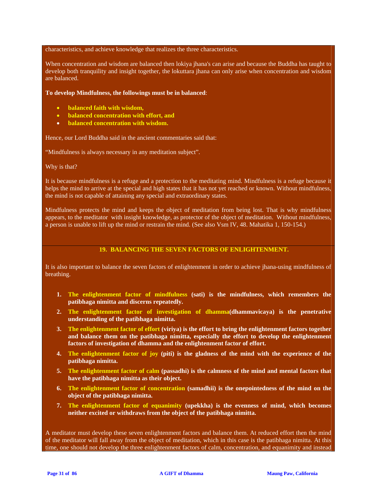#### characteristics, and achieve knowledge that realizes the three characteristics.

When concentration and wisdom are balanced then lokiya jhana's can arise and because the Buddha has taught to develop both tranquility and insight together, the lokuttara jhana can only arise when concentration and wisdom are balanced.

#### **To develop Mindfulness, the followings must be in balanced**:

- **balanced faith with wisdom,**
- **balanced concentration with effort, and**
- **balanced concentration with wisdom.**

Hence, our Lord Buddha said in the ancient commentaries said that:

"Mindfulness is always necessary in any meditation subject".

Why is that?

It is because mindfulness is a refuge and a protection to the meditating mind. Mindfulness is a refuge because it helps the mind to arrive at the special and high states that it has not yet reached or known. Without mindfulness, the mind is not capable of attaining any special and extraordinary states.

Mindfulness protects the mind and keeps the object of meditation from being lost. That is why mindfulness appears, to the meditator with insight knowledge, as protector of the object of meditation. Without mindfulness, a person is unable to lift up the mind or restrain the mind. (See also Vsm IV, 48. Mahatika 1, 150-154.)

# **19. BALANCING THE SEVEN FACTORS OF ENLIGHTENMENT.**

It is also important to balance the seven factors of enlightenment in order to achieve jhana-using mindfulness of breathing.

- **1. The enlightenment factor of mindfulness (sati) is the mindfulness, which remembers the patibhaga nimitta and discerns repeatedly.**
- **2. The enlightenment factor of investigation of dhamma(dhammavicaya) is the penetrative understanding of the patibhaga nimitta.**
- **3. The enlightenment factor of effort (viriya) is the effort to bring the enlightenment factors together and balance them on the patibhaga nimitta, especially the effort to develop the enlightenment factors of investigation of dhamma and the enlightenment factor of effort.**
- **4. The enlightenment factor of joy (piti) is the gladness of the mind with the experience of the patibhaga nimitta.**
- **5. The enlightenment factor of calm (passadhi) is the calmness of the mind and mental factors that have the patibhaga nimitta as their object.**
- **6. The enlightenment factor of concentration (samadhii) is the onepointedness of the mind on the object of the patibhaga nimitta.**
- **7. The enlightenment factor of equanimity (upekkha) is the evenness of mind, which becomes neither excited or withdraws from the object of the patibhaga nimitta.**

A meditator must develop these seven enlightenment factors and balance them. At reduced effort then the mind of the meditator will fall away from the object of meditation, which in this case is the patibhaga nimitta. At this time, one should not develop the three enlightenment factors of calm, concentration, and equanimity and instead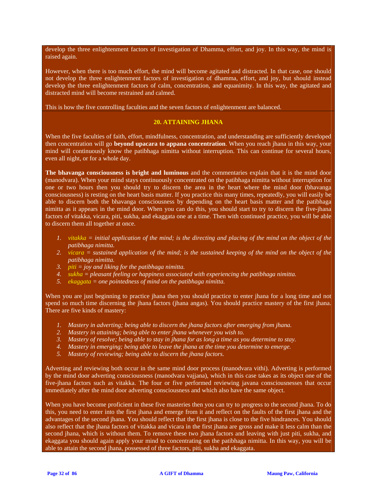develop the three enlightenment factors of investigation of Dhamma, effort, and joy. In this way, the mind is raised again.

However, when there is too much effort, the mind will become agitated and distracted. In that case, one should not develop the three enlightenment factors of investigation of dhamma, effort, and joy, but should instead develop the three enlightenment factors of calm, concentration, and equanimity. In this way, the agitated and distracted mind will become restrained and calmed.

This is how the five controlling faculties and the seven factors of enlightenment are balanced.

# **20. ATTAINING JHANA**

When the five faculties of faith, effort, mindfulness, concentration, and understanding are sufficiently developed then concentration will go **beyond upacara to appana concentration**. When you reach jhana in this way, your mind will continuously know the patibhaga nimitta without interruption. This can continue for several hours, even all night, or for a whole day.

**The bhavanga consciousness is bright and luminous** and the commentaries explain that it is the mind door (manodvara). When your mind stays continuously concentrated on the patibhaga nimitta without interruption for one or two hours then you should try to discern the area in the heart where the mind door (bhavanga consciousness) is resting on the heart basis matter. If you practice this many times, repeatedly, you will easily be able to discern both the bhavanga consciousness by depending on the heart basis matter and the patibhaga nimitta as it appears in the mind door. When you can do this, you should start to try to discern the five-jhana factors of vitakka, vicara, piti, sukha, and ekaggata one at a time. Then with continued practice, you will be able to discern them all together at once.

- *1. vitakka = initial application of the mind; is the directing and placing of the mind on the object of the patibhaga nimitta.*
- *2. vicara = sustained application of the mind; is the sustained keeping of the mind on the object of the patibhaga nimitta.*
- *3. piti = joy and liking for the patibhaga nimitta.*
- *4. sukha = pleasant feeling or happiness associated with experiencing the patibhaga nimitta.*
- *5. ekaggata = one pointedness of mind on the patibhaga nimitta.*

When you are just beginning to practice jhana then you should practice to enter jhana for a long time and not spend so much time discerning the jhana factors (jhana angas). You should practice mastery of the first jhana. There are five kinds of mastery:

- *1. Mastery in adverting; being able to discern the jhana factors after emerging from jhana.*
- *2. Mastery in attaining; being able to enter jhana whenever you wish to.*
- *3. Mastery of resolve; being able to stay in jhana for as long a time as you determine to stay.*
- *4. Mastery in emerging; being able to leave the jhana at the time you determine to emerge.*
- *5. Mastery of reviewing; being able to discern the jhana factors.*

Adverting and reviewing both occur in the same mind door process (manodvara vithi). Adverting is performed by the mind door adverting consciousness (manodvara vajjana), which in this case takes as its object one of the five-jhana factors such as vitakka. The four or five performed reviewing javana consciousnesses that occur immediately after the mind door adverting consciousness and which also have the same object.

When you have become proficient in these five masteries then you can try to progress to the second jhana. To do this, you need to enter into the first jhana and emerge from it and reflect on the faults of the first jhana and the advantages of the second jhana. You should reflect that the first jhana is close to the five hindrances. You should also reflect that the jhana factors of vitakka and vicara in the first jhana are gross and make it less calm than the second jhana, which is without them. To remove these two jhana factors and leaving with just piti, sukha, and ekaggata you should again apply your mind to concentrating on the patibhaga nimitta. In this way, you will be able to attain the second jhana, possessed of three factors, piti, sukha and ekaggata.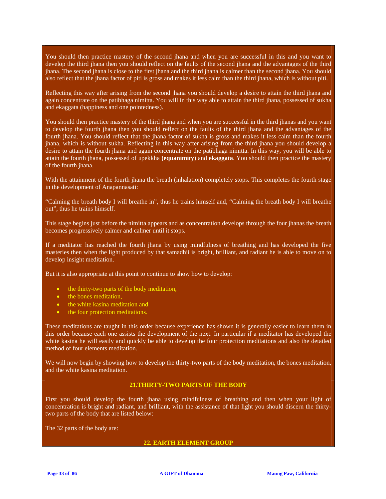You should then practice mastery of the second jhana and when you are successful in this and you want to develop the third jhana then you should reflect on the faults of the second jhana and the advantages of the third jhana. The second jhana is close to the first jhana and the third jhana is calmer than the second jhana. You should also reflect that the jhana factor of piti is gross and makes it less calm than the third jhana, which is without piti.

Reflecting this way after arising from the second jhana you should develop a desire to attain the third jhana and again concentrate on the patibhaga nimitta. You will in this way able to attain the third jhana, possessed of sukha and ekaggata (happiness and one pointedness).

You should then practice mastery of the third jhana and when you are successful in the third jhanas and you want to develop the fourth jhana then you should reflect on the faults of the third jhana and the advantages of the fourth jhana. You should reflect that the jhana factor of sukha is gross and makes it less calm than the fourth jhana, which is without sukha. Reflecting in this way after arising from the third jhana you should develop a desire to attain the fourth jhana and again concentrate on the patibhaga nimitta. In this way, you will be able to attain the fourth jhana, possessed of upekkha **(equanimity)** and **ekaggata**. You should then practice the mastery of the fourth jhana.

With the attainment of the fourth jhana the breath (inhalation) completely stops. This completes the fourth stage in the development of Anapannasati:

"Calming the breath body I will breathe in", thus he trains himself and, "Calming the breath body I will breathe out", thus he trains himself.

This stage begins just before the nimitta appears and as concentration develops through the four jhanas the breath becomes progressively calmer and calmer until it stops.

If a meditator has reached the fourth jhana by using mindfulness of breathing and has developed the five masteries then when the light produced by that samadhii is bright, brilliant, and radiant he is able to move on to develop insight meditation.

But it is also appropriate at this point to continue to show how to develop:

- the thirty-two parts of the body meditation,
- the bones meditation,
- the white kasina meditation and
- the four protection meditations.

These meditations are taught in this order because experience has shown it is generally easier to learn them in this order because each one assists the development of the next. In particular if a meditator has developed the white kasina he will easily and quickly be able to develop the four protection meditations and also the detailed method of four elements meditation.

We will now begin by showing how to develop the thirty-two parts of the body meditation, the bones meditation, and the white kasina meditation.

# **21.THIRTY-TWO PARTS OF THE BODY**

First you should develop the fourth jhana using mindfulness of breathing and then when your light of concentration is bright and radiant, and brilliant, with the assistance of that light you should discern the thirtytwo parts of the body that are listed below:

The 32 parts of the body are:

#### **22. EARTH ELEMENT GROUP**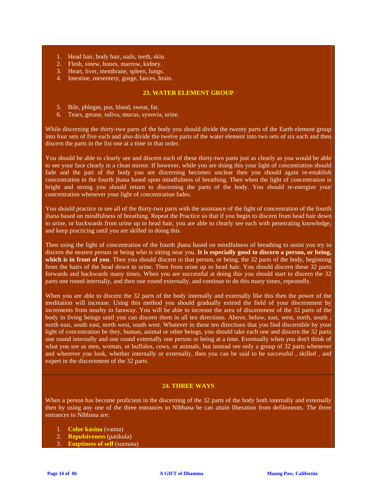- 1. Head hair, body hair, nails, teeth, skin.
- 2. Flesh, sinew, bones, marrow, kidney.
- 3. Heart, liver, membrane, spleen, lungs.
- 4. Intestine, mesentery, gorge, faeces, brain.

#### **23. WATER ELEMENT GROUP**

- 5. Bile, phlegm, pus, blood, sweat, fat.
- 6. Tears, grease, saliva, mucus, synovia, urine.

While discerning the thirty-two parts of the body you should divide the twenty parts of the Earth element group into four sets of five each and also divide the twelve parts of the water element into two sets of six each and then discern the parts in the list one at a time in that order.

You should be able to clearly see and discern each of these thirty-two parts just as clearly as you would be able to see your face clearly in a clean mirror. If however, while you are doing this your light of concentration should fade and the part of the body you are discerning becomes unclear then you should again re-establish concentration to the fourth jhana based upon mindfulness of breathing. Then when the light of concentration is bright and strong you should return to discerning the parts of the body. You should re-energize your concentration whenever your light of concentration fades.

You should practice to see all of the thirty-two parts with the assistance of the light of concentration of the fourth jhana based on mindfulness of breathing. Repeat the Practice so that if you begin to discern from head hair down to urine, or backwards from urine up to head hair, you are able to clearly see each with penetrating knowledge, and keep practicing until you are skilled in doing this.

Then using the light of concentration of the fourth jhana based on mindfulness of breathing to assist you try to discern the nearest person or being who is sitting near you. **It is especially good to discern a person, or being,**  which is in front of you. Then you should discern in that person, or being, the 32 parts of the body, beginning from the hairs of the head down to urine. Then from urine up to head hair. You should discern these 32 parts forwards and backwards many times. When you are successful at doing this you should start to discern the 32 parts one round internally, and then one round externally, and continue to do this many times, repeatedly.

When you are able to discern the 32 parts of the body internally and externally like this then the power of the meditation will increase. Using this method you should gradually extend the field of your discernment by increments from nearby to faraway. You will be able to increase the area of discernment of the 32 parts of the body in living beings until you can discern them in all ten directions. Above, below, east, west, north, south , north east, south east, north west, south west. Whatever in these ten directions that you find discernible by your light of concentration be they, human, animal or other beings, you should take each one and discern the 32 parts one round internally and one round externally one person or being at a time. Eventually when you don't think of what you see as men, woman, or buffalos, cows, or animals, but instead see only a group of 32 parts whenever and wherever you look, whether internally or externally, then you can be said to be successful , skilled , and expert in the discernment of the 32 parts.

#### **24. THREE WAYS**

When a person has become proficient in the discerning of the 32 parts of the body both internally and externally then by using any one of the three entrances to Nibbana he can attain liberation from defilements. The three entrances to Nibbana are:

- 1. **Color kasina** (vanna)
- 2. **Repulsiveness** (patikula)
- 3. **Emptiness of self** (sunnata)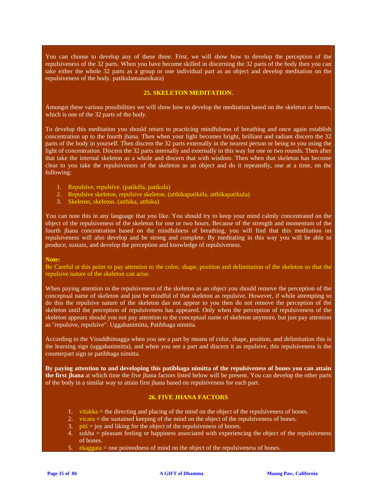You can choose to develop any of these three. First, we will show how to develop the perception of the repulsiveness of the 32 parts. When you have become skilled in discerning the 32 parts of the body then you can take either the whole 32 parts as a group or one individual part as an object and develop meditation on the repulsiveness of the body. patikulamanasikara)

#### **25. SKELETON MEDITATION.**

Amongst these various possibilities we will show how to develop the meditation based on the skeleton or bones, which is one of the 32 parts of the body.

To develop this meditation you should return to practicing mindfulness of breathing and once again establish concentration up to the fourth jhana. Then when your light becomes bright, brilliant and radiant discern the 32 parts of the body in yourself. Then discern the 32 parts externally in the nearest person or being to you using the light of concentration. Discern the 32 parts internally and externally in this way for one or two rounds. Then after that take the internal skeleton as a whole and discern that with wisdom. Then when that skeleton has become clear to you take the repulsiveness of the skeleton as an object and do it repeatedly, one at a time, on the following:

- 1. Repulsive, repulsive. (patikèla, patikula)
- 2. Repulsive skeleton, repulsive skeleton. (atthikapatikèla, atthikapatikula)
- 3. Skeleton, skeleton. (atthika, atthika)

You can note this in any language that you like. You should try to keep your mind calmly concentrated on the object of the repulsiveness of the skeleton for one or two hours. Because of the strength and momentum of the fourth jhana concentration based on the mindfulness of breathing, you will find that this meditation on repulsiveness will also develop and be strong and complete. By meditating in this way you will be able to produce, sustain, and develop the perception and knowledge of repulsiveness.

#### **Note:**

Be Careful at this point to pay attention to the color, shape, position and delimitation of the skeleton so that the repulsive nature of the skeleton can arise.

When paying attention to the repulsiveness of the skeleton as an object you should remove the perception of the conceptual name of skeleton and just be mindful of that skeleton as repulsive. However, if while attempting to do this the repulsive nature of the skeleton das not appear to you then do not remove the perception of the skeleton until the perception of repulsiveness has appeared. Only when the perception of repulsiveness of the skeleton appears should you not pay attention to the conceptual name of skeleton anymore, but just pay attention as "repulsive, repulsive". Uggahanimitta, Patibhaga nimitta.

According to the Visuddhimagga when you see a part by means of color, shape, position, and delimitation this is the learning sign (uggahanimitta), and when you see a part and discern it as repulsive, this repulsiveness is the counterpart sign or patibhaga nimitta.

**By paying attention to and developing this patibhaga nimitta of the repulsiveness of bones you can attain the first jhana** at which time the five jhana factors listed below will be present. You can develop the other parts of the body in a similar way to attain first jhana based on repulsiveness for each part.

#### **26. FIVE JHANA FACTORS**

- 1. vitakka  $=$  the directing and placing of the mind on the object of the repulsiveness of bones.
- 2. vicara = the sustained keeping of the mind on the object of the repulsiveness of bones.
- $3.$  piti = joy and liking for the object of the repulsiveness of bones.
- 4. sukha = pleasant feeling or happiness associated with experiencing the object of the repulsiveness of bones.
- 5. ekaggata = one pointedness of mind on the object of the repulsiveness of bones.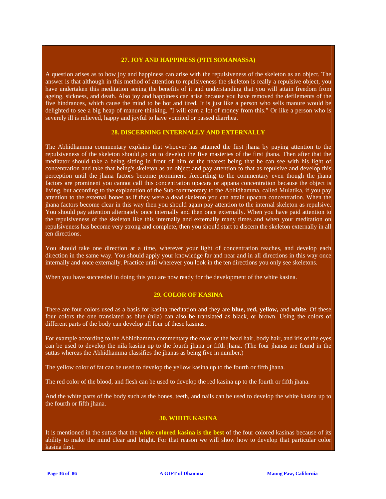# **27. JOY AND HAPPINESS (PITI SOMANASSA)**

A question arises as to how joy and happiness can arise with the repulsiveness of the skeleton as an object. The answer is that although in this method of attention to repulsiveness the skeleton is really a repulsive object, you have undertaken this meditation seeing the benefits of it and understanding that you will attain freedom from ageing, sickness, and death. Also joy and happiness can arise because you have removed the defilements of the five hindrances, which cause the mind to be hot and tired. It is just like a person who sells manure would be delighted to see a big heap of manure thinking, "I will earn a lot of money from this." Or like a person who is severely ill is relieved, happy and joyful to have vomited or passed diarrhea.

# **28. DISCERNING INTERNALLY AND EXTERNALLY**

The Abhidhamma commentary explains that whoever has attained the first jhana by paying attention to the repulsiveness of the skeleton should go on to develop the five masteries of the first jhana. Then after that the meditator should take a being sitting in front of him or the nearest being that he can see with his light of concentration and take that being's skeleton as an object and pay attention to that as repulsive and develop this perception until the jhana factors become prominent. According to the commentary even though the jhana factors are prominent you cannot call this concentration upacara or appana concentration because the object is living, but according to the explanation of the Sub-commentary to the Abhidhamma, called Mulatika, if you pay attention to the external bones as if they were a dead skeleton you can attain upacara concentration. When the jhana factors become clear in this way then you should again pay attention to the internal skeleton as repulsive. You should pay attention alternately once internally and then once externally. When you have paid attention to the repulsiveness of the skeleton like this internally and externally many times and when your meditation on repulsiveness has become very strong and complete, then you should start to discern the skeleton externally in all ten directions.

You should take one direction at a time, wherever your light of concentration reaches, and develop each direction in the same way. You should apply your knowledge far and near and in all directions in this way once internally and once externally. Practice until wherever you look in the ten directions you only see skeletons.

When you have succeeded in doing this you are now ready for the development of the white kasina.

# **29. COLOR OF KASINA**

There are four colors used as a basis for kasina meditation and they are **blue, red, yellow,** and **white**. Of these four colors the one translated as blue (nila) can also be translated as black, or brown. Using the colors of different parts of the body can develop all four of these kasinas.

For example according to the Abhidhamma commentary the color of the head hair, body hair, and iris of the eyes can be used to develop the nila kasina up to the fourth jhana or fifth jhana. (The four jhanas are found in the suttas whereas the Abhidhamma classifies the jhanas as being five in number.)

The yellow color of fat can be used to develop the yellow kasina up to the fourth or fifth jhana.

The red color of the blood, and flesh can be used to develop the red kasina up to the fourth or fifth jhana.

And the white parts of the body such as the bones, teeth, and nails can be used to develop the white kasina up to the fourth or fifth jhana.

#### **30. WHITE KASINA**

It is mentioned in the suttas that the **white colored kasina is the best** of the four colored kasinas because of its ability to make the mind clear and bright. For that reason we will show how to develop that particular color kasina first.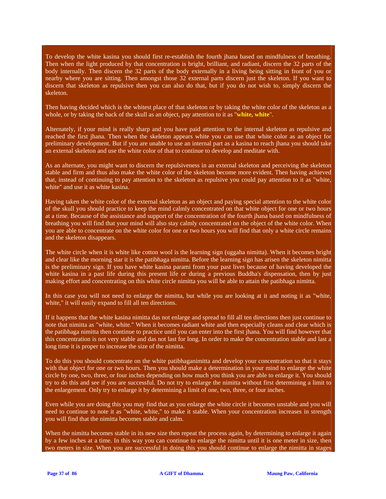To develop the white kasina you should first re-establish the fourth jhana based on mindfulness of breathing. Then when the light produced by that concentration is bright, brilliant, and radiant, discern the 32 parts of the body internally. Then discern the 32 parts of the body externally in a living being sitting in front of you or nearby where you are sitting. Then amongst those 32 external parts discern just the skeleton. If you want to discern that skeleton as repulsive then you can also do that, but if you do not wish to, simply discern the skeleton.

Then having decided which is the whitest place of that skeleton or by taking the white color of the skeleton as a whole, or by taking the back of the skull as an object, pay attention to it as "**white, white**".

Alternately, if your mind is really sharp and you have paid attention to the internal skeleton as repulsive and reached the first jhana. Then when the skeleton appears white you can use that white color as an object for preliminary development. But if you are unable to use an internal part as a kasina to reach jhana you should take an external skeleton and use the white color of that to continue to develop and meditate with.

As an alternate, you might want to discern the repulsiveness in an external skeleton and perceiving the skeleton stable and firm and thus also make the white color of the skeleton become more evident. Then having achieved that, instead of continuing to pay attention to the skeleton as repulsive you could pay attention to it as "white, white" and use it as white kasina.

Having taken the white color of the external skeleton as an object and paying special attention to the white color of the skull you should practice to keep the mind calmly concentrated on that white object for one or two hours at a time. Because of the assistance and support of the concentration of the fourth jhana based on mindfulness of breathing you will find that your mind will also stay calmly concentrated on the object of the white color. When you are able to concentrate on the white color for one or two hours you will find that only a white circle remains and the skeleton disappears.

The white circle when it is white like cotton wool is the learning sign (uggaha nimitta). When it becomes bright and clear like the morning star it is the patibhaga nimitta. Before the learning sign has arisen the skeleton nimitta is the preliminary sign. If you have white kasina parami from your past lives because of having developed the white kasina in a past life during this present life or during a previous Buddha's dispensation, then by just making effort and concentrating on this white circle nimitta you will be able to attain the patibhaga nimitta.

In this case you will not need to enlarge the nimitta, but while you are looking at it and noting it as "white, white," it will easily expand to fill all ten directions.

If it happens that the white kasina nimitta das not enlarge and spread to fill all ten directions then just continue to note that nimitta as "white, white." When it becomes radiant white and then especially cleans and clear which is the patibhaga nimitta then continue to practice until you can enter into the first jhana. You will find however that this concentration is not very stable and das not last for long. In order to make the concentration stable and last a long time it is proper to increase the size of the nimitta.

To do this you should concentrate on the white patibhaganimitta and develop your concentration so that it stays with that object for one or two hours. Then you should make a determination in your mind to enlarge the white circle by one, two, three, or four inches depending on how much you think you are able to enlarge it. You should try to do this and see if you are successful. Do not try to enlarge the nimitta without first determining a limit to the enlargement. Only try to enlarge it by determining a limit of one, two, three, or four inches.

Even while you are doing this you may find that as you enlarge the white circle it becomes unstable and you will need to continue to note it as "white, white," to make it stable. When your concentration increases in strength you will find that the nimitta becomes stable and calm.

When the nimitta becomes stable in its new size then repeat the process again, by determining to enlarge it again by a few inches at a time. In this way you can continue to enlarge the nimitta until it is one meter in size, then two meters in size. When you are successful in doing this you should continue to enlarge the nimitta in stages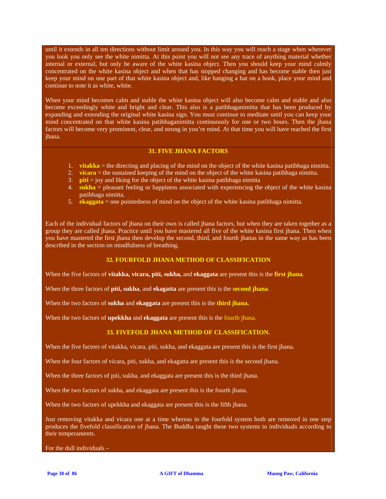until it extends in all ten directions without limit around you. In this way you will reach a stage when wherever you look you only see the white nimitta. At this point you will not see any trace of anything material whether internal or external, but only be aware of the white kasina object. Then you should keep your mind calmly concentrated on the white kasina object and when that has stopped changing and has become stable then just keep your mind on one part of that white kasina object and, like hanging a hat on a hook, place your mind and continue to note it as white, white.

When your mind becomes calm and stable the white kasina object will also become calm and stable and also become exceedingly white and bright and clear. This also is a patibhaganimitta that has been produced by expanding and extending the original white kasina sign. You must continue to meditate until you can keep your mind concentrated on that white kasina patibhaganimitta continuously for one or two hours. Then the jhana factors will become very prominent, clear, and strong in you're mind. At that time you will have reached the first jhana.

# **31. FIVE JHANA FACTORS**

- 1. **vitakka** = the directing and placing of the mind on the object of the white kasina patibhaga nimitta.
- 2. **vicara** = the sustained keeping of the mind on the object of the white kasina patibhaga nimitta.
- 3. **piti** = joy and liking for the object of the white kasina patibhaga nimitta
- 4. **sukha** = pleasant feeling or happiness associated with experiencing the object of the white kasina patibhaga nimitta.
- 5. **ekaggata** = one pointedness of mind on the object of the white kasina patibhaga nimitta.

Each of the individual factors of jhana on their own is called jhana factors, but when they are taken together as a group they are called jhana. Practice until you have mastered all five of the white kasina first jhana. Then when you have mastered the first jhana then develop the second, third, and fourth jhanas in the same way as has been described in the section on mindfulness of breathing.

# **32. FOURFOLD JHANA METHOD OF CLASSIFICATION**

When the five factors of **vitakka, vicara, piti, sukha,** and **ekaggata** are present this is the **first jhana**.

When the three factors of **piti, sukha**, and **ekagatta** are present this is the **second jhana**.

When the two factors of **sukha** and **ekaggata** are present this is the **third jhana.**

When the two factors of **upekkha** and **ekaggata** are present this is the fourth jhana.

# **33. FIVEFOLD JHANA METHOD OF CLASSIFICATION.**

When the five factors of vitakka, vicara, piti, sukha, and ekaggata are present this is the first jhana.

When the four factors of vicara, piti, sukha, and ekagatta are present this is the second jhana.

When the three factors of piti, sukha, and ekaggata are present this is the third jhana.

When the two factors of sukha, and ekaggata are present this is the fourth jhana.

When the two factors of upekkha and ekaggata are present this is the fifth jhana.

Just removing vitakka and vicara one at a time whereas in the fourfold system both are removed in one step produces the fivefold classification of jhana. The Buddha taught these two systems to individuals according to their temperaments.

For the dull individuals –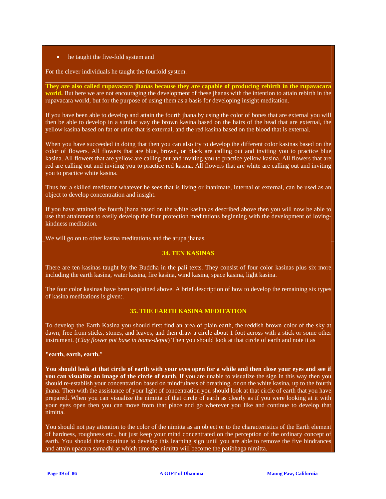#### • he taught the five-fold system and

For the clever individuals he taught the fourfold system.

**They are also called rupavacara jhanas because they are capable of producing rebirth in the rupavacara world.** But here we are not encouraging the development of these jhanas with the intention to attain rebirth in the rupavacara world, but for the purpose of using them as a basis for developing insight meditation.

If you have been able to develop and attain the fourth jhana by using the color of bones that are external you will then be able to develop in a similar way the brown kasina based on the hairs of the head that are external, the yellow kasina based on fat or urine that is external, and the red kasina based on the blood that is external.

When you have succeeded in doing that then you can also try to develop the different color kasinas based on the color of flowers. All flowers that are blue, brown, or black are calling out and inviting you to practice blue kasina. All flowers that are yellow are calling out and inviting you to practice yellow kasina. All flowers that are red are calling out and inviting you to practice red kasina. All flowers that are white are calling out and inviting you to practice white kasina.

Thus for a skilled meditator whatever he sees that is living or inanimate, internal or external, can be used as an object to develop concentration and insight.

If you have attained the fourth jhana based on the white kasina as described above then you will now be able to use that attainment to easily develop the four protection meditations beginning with the development of lovingkindness meditation.

We will go on to other kasina meditations and the arupa jhanas.

# **34. TEN KASINAS**

There are ten kasinas taught by the Buddha in the pali texts. They consist of four color kasinas plus six more including the earth kasina, water kasina, fire kasina, wind kasina, space kasina, light kasina.

The four color kasinas have been explained above. A brief description of how to develop the remaining six types of kasina meditations is given:.

#### **35. THE EARTH KASINA MEDITATION**

To develop the Earth Kasina you should first find an area of plain earth, the reddish brown color of the sky at dawn, free from sticks, stones, and leaves, and then draw a circle about 1 foot across with a stick or some other instrument. (*Clay flower pot base in home-depot*) Then you should look at that circle of earth and note it as

#### **"earth, earth, earth.**"

**You should look at that circle of earth with your eyes open for a while and then close your eyes and see if you can visualize an image of the circle of earth**. If you are unable to visualize the sign in this way then you should re-establish your concentration based on mindfulness of breathing, or on the white kasina, up to the fourth jhana. Then with the assistance of your light of concentration you should look at that circle of earth that you have prepared. When you can visualize the nimitta of that circle of earth as clearly as if you were looking at it with your eyes open then you can move from that place and go wherever you like and continue to develop that nimitta.

You should not pay attention to the color of the nimitta as an object or to the characteristics of the Earth element of hardness, roughness etc., but just keep your mind concentrated on the perception of the ordinary concept of earth. You should then continue to develop this learning sign until you are able to remove the five hindrances and attain upacara samadhi at which time the nimitta will become the patibhaga nimitta.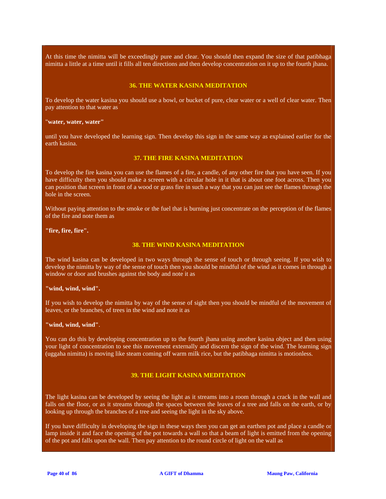At this time the nimitta will be exceedingly pure and clear. You should then expand the size of that patibhaga nimitta a little at a time until it fills all ten directions and then develop concentration on it up to the fourth jhana.

#### **36. THE WATER KASINA MEDITATION**

To develop the water kasina you should use a bowl, or bucket of pure, clear water or a well of clear water. Then pay attention to that water as

#### "**water, water, water"**

until you have developed the learning sign. Then develop this sign in the same way as explained earlier for the earth kasina.

# **37. THE FIRE KASINA MEDITATION**

To develop the fire kasina you can use the flames of a fire, a candle, of any other fire that you have seen. If you have difficulty then you should make a screen with a circular hole in it that is about one foot across. Then you can position that screen in front of a wood or grass fire in such a way that you can just see the flames through the hole in the screen.

Without paying attention to the smoke or the fuel that is burning just concentrate on the perception of the flames of the fire and note them as

**"fire, fire, fire".** 

#### **38. THE WIND KASINA MEDITATION**

The wind kasina can be developed in two ways through the sense of touch or through seeing. If you wish to develop the nimitta by way of the sense of touch then you should be mindful of the wind as it comes in through a window or door and brushes against the body and note it as

#### **"wind, wind, wind".**

If you wish to develop the nimitta by way of the sense of sight then you should be mindful of the movement of leaves, or the branches, of trees in the wind and note it as

#### **"wind, wind, wind"**.

You can do this by developing concentration up to the fourth jhana using another kasina object and then using your light of concentration to see this movement externally and discern the sign of the wind. The learning sign (uggaha nimitta) is moving like steam coming off warm milk rice, but the patibhaga nimitta is motionless.

# **39. THE LIGHT KASINA MEDITATION**

The light kasina can be developed by seeing the light as it streams into a room through a crack in the wall and falls on the floor, or as it streams through the spaces between the leaves of a tree and falls on the earth, or by looking up through the branches of a tree and seeing the light in the sky above.

If you have difficulty in developing the sign in these ways then you can get an earthen pot and place a candle or lamp inside it and face the opening of the pot towards a wall so that a beam of light is emitted from the opening of the pot and falls upon the wall. Then pay attention to the round circle of light on the wall as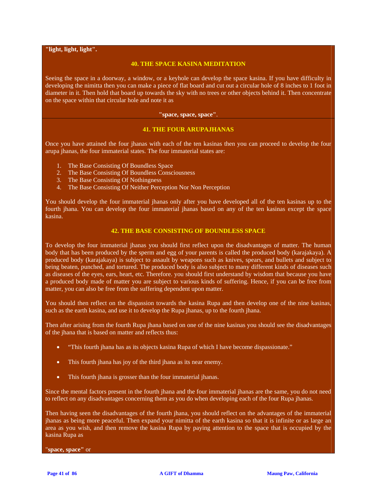**"light, light, light".** 

# **40. THE SPACE KASINA MEDITATION**

Seeing the space in a doorway, a window, or a keyhole can develop the space kasina. If you have difficulty in developing the nimitta then you can make a piece of flat board and cut out a circular hole of 8 inches to 1 foot in diameter in it. Then hold that board up towards the sky with no trees or other objects behind it. Then concentrate on the space within that circular hole and note it as

#### **"space, space, space"**.

#### **41. THE FOUR ARUPAJHANAS**

Once you have attained the four jhanas with each of the ten kasinas then you can proceed to develop the four arupa jhanas, the four immaterial states. The four immaterial states are:

- 1. The Base Consisting Of Boundless Space
- 2. The Base Consisting Of Boundless Consciousness
- 3. The Base Consisting Of Nothingness
- 4. The Base Consisting Of Neither Perception Nor Non Perception

You should develop the four immaterial jhanas only after you have developed all of the ten kasinas up to the fourth jhana. You can develop the four immaterial jhanas based on any of the ten kasinas except the space kasina.

#### **42. THE BASE CONSISTING OF BOUNDLESS SPACE**

To develop the four immaterial jhanas you should first reflect upon the disadvantages of matter. The human body that has been produced by the sperm and egg of your parents is called the produced body (karajakaya). A produced body (karajakaya) is subject to assault by weapons such as knives, spears, and bullets and subject to being beaten, punched, and tortured. The produced body is also subject to many different kinds of diseases such as diseases of the eyes, ears, heart, etc. Therefore. you should first understand by wisdom that because you have a produced body made of matter you are subject to various kinds of suffering. Hence, if you can be free from matter, you can also be free from the suffering dependent upon matter.

You should then reflect on the dispassion towards the kasina Rupa and then develop one of the nine kasinas, such as the earth kasina, and use it to develop the Rupa jhanas, up to the fourth jhana.

Then after arising from the fourth Rupa jhana based on one of the nine kasinas you should see the disadvantages of the jhana that is based on matter and reflects thus:

- "This fourth jhana has as its objects kasina Rupa of which I have become dispassionate."
- This fourth jhana has joy of the third jhana as its near enemy.
- This fourth jhana is grosser than the four immaterial jhanas.

Since the mental factors present in the fourth jhana and the four immaterial jhanas are the same, you do not need to reflect on any disadvantages concerning them as you do when developing each of the four Rupa jhanas.

Then having seen the disadvantages of the fourth jhana, you should reflect on the advantages of the immaterial jhanas as being more peaceful. Then expand your nimitta of the earth kasina so that it is infinite or as large an area as you wish, and then remove the kasina Rupa by paying attention to the space that is occupied by the kasina Rupa as

"**space, space"** or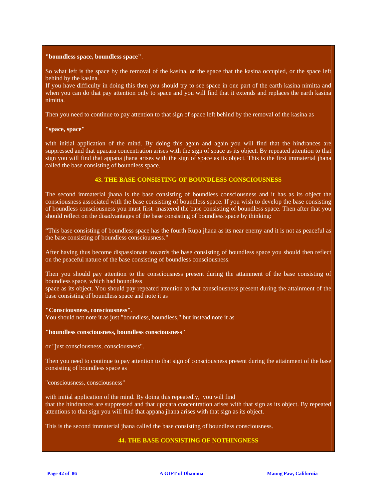#### **"boundless space, boundless space"**.

So what left is the space by the removal of the kasina, or the space that the kasina occupied, or the space left behind by the kasina.

If you have difficulty in doing this then you should try to see space in one part of the earth kasina nimitta and when you can do that pay attention only to space and you will find that it extends and replaces the earth kasina nimitta.

Then you need to continue to pay attention to that sign of space left behind by the removal of the kasina as

#### **"space, space"**

with initial application of the mind. By doing this again and again you will find that the hindrances are suppressed and that upacara concentration arises with the sign of space as its object. By repeated attention to that sign you will find that appana jhana arises with the sign of space as its object. This is the first immaterial jhana called the base consisting of boundless space.

#### **43. THE BASE CONSISTING OF BOUNDLESS CONSCIOUSNESS**

The second immaterial jhana is the base consisting of boundless consciousness and it has as its object the consciousness associated with the base consisting of boundless space. If you wish to develop the base consisting of boundless consciousness you must first mastered the base consisting of boundless space. Then after that you should reflect on the disadvantages of the base consisting of boundless space by thinking:

"This base consisting of boundless space has the fourth Rupa jhana as its near enemy and it is not as peaceful as the base consisting of boundless consciousness."

After having thus become dispassionate towards the base consisting of boundless space you should then reflect on the peaceful nature of the base consisting of boundless consciousness.

Then you should pay attention to the consciousness present during the attainment of the base consisting of boundless space, which had boundless

space as its object. You should pay repeated attention to that consciousness present during the attainment of the base consisting of boundless space and note it as

#### **"Consciousness, consciousness"**.

You should not note it as just "boundless, boundless," but instead note it as

#### **"boundless consciousness, boundless consciousness"**

or "just consciousness, consciousness".

Then you need to continue to pay attention to that sign of consciousness present during the attainment of the base consisting of boundless space as

"consciousness, consciousness"

with initial application of the mind. By doing this repeatedly, you will find that the hindrances are suppressed and that upacara concentration arises with that sign as its object. By repeated attentions to that sign you will find that appana jhana arises with that sign as its object.

This is the second immaterial jhana called the base consisting of boundless consciousness.

# **44. THE BASE CONSISTING OF NOTHINGNESS**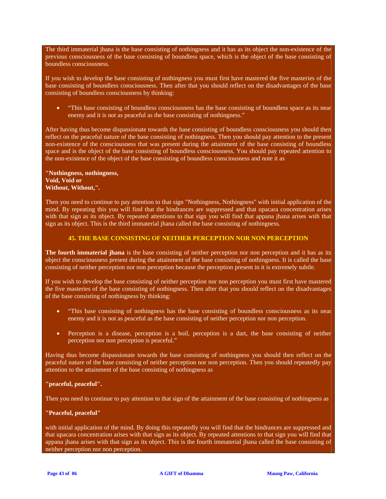The third immaterial jhana is the base consisting of nothingness and it has as its object the non-existence of the previous consciousness of the base consisting of boundless space, which is the object of the base consisting of boundless consciousness.

If you wish to develop the base consisting of nothingness you must first have mastered the five masteries of the base consisting of boundless consciousness. Then after that you should reflect on the disadvantages of the base consisting of boundless consciousness by thinking:

• "This base consisting of boundless consciousness has the base consisting of boundless space as its near enemy and it is not as peaceful as the base consisting of nothingness."

After having thus become dispassionate towards the base consisting of boundless consciousness you should then reflect on the peaceful nature of the base consisting of nothingness. Then you should pay attention to the present non-existence of the consciousness that was present during the attainment of the base consisting of boundless space and is the object of the base consisting of boundless consciousness. You should pay repeated attention to the non-existence of the object of the base consisting of boundless consciousness and note it as

#### **"Nothingness, nothingness, Void, Void or Without, Without,".**

Then you need to continue to pay attention to that sign "Nothingness, Nothingness" with initial application of the mind. By repeating this you will find that the hindrances are suppressed and that upacara concentration arises with that sign as its object. By repeated attentions to that sign you will find that appana jhana arises with that sign as its object. This is the third immaterial jhana called the base consisting of nothingness.

# **45. THE BASE CONSISTING OF NEITHER PERCEPTION NOR NON PERCEPTION**

**The fourth immaterial jhana** is the base consisting of neither perception nor non perception and it has as its object the consciousness present during the attainment of the base consisting of nothingness. It is called the base consisting of neither perception nor non perception because the perception present in it is extremely subtle.

If you wish to develop the base consisting of neither perception nor non perception you must first have mastered the five masteries of the base consisting of nothingness. Then after that you should reflect on the disadvantages of the base consisting of nothingness by thinking:

- "This base consisting of nothingness has the base consisting of boundless consciousness as its near enemy and it is not as peaceful as the base consisting of neither perception nor non perception.
- Perception is a disease, perception is a boil, perception is a dart, the base consisting of neither perception nor non perception is peaceful."

Having thus become dispassionate towards the base consisting of nothingness you should then reflect on the peaceful nature of the base consisting of neither perception nor non perception. Then you should repeatedly pay attention to the attainment of the base consisting of nothingness as

# **"peaceful, peaceful".**

Then you need to continue to pay attention to that sign of the attainment of the base consisting of nothingness as

#### **"Peaceful, peaceful"**

with initial application of the mind. By doing this repeatedly you will find that the hindrances are suppressed and that upacara concentration arises with that sign as its object. By repeated attentions to that sign you will find that appana jhana arises with that sign as its object. This is the fourth immaterial jhana called the base consisting of neither perception nor non perception.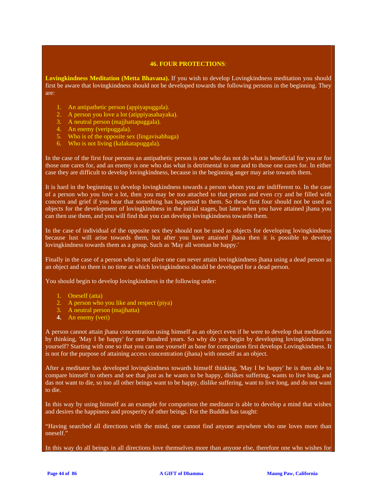# **46. FOUR PROTECTIONS**:

**Lovingkindness Meditation (Metta Bhavana).** If you wish to develop Lovingkindness meditation you should first be aware that lovingkindness should not be developed towards the following persons in the beginning. They are:

- 1. An antipathetic person (appiyapuggala).
- 2. A person you love a lot (atippiyasahayaka).
- 3. A neutral person (majjhattapuggala).
- 4. An enemy (veripuggala).
- 5. Who is of the opposite sex (lingavisabhaga)
- 6. Who is not living (kalakatapuggala).

In the case of the first four persons an antipathetic person is one who das not do what is beneficial for you or for those one cares for, and an enemy is one who das what is detrimental to one and to those one cares for. In either case they are difficult to develop lovingkindness, because in the beginning anger may arise towards them.

It is hard in the beginning to develop lovingkindness towards a person whom you are indifferent to. In the case of a person who you love a lot, then you may be too attached to that person and even cry and be filled with concern and grief if you hear that something has happened to them. So these first four should not be used as objects for the development of lovingkindness in the initial stages, but later when you have attained jhana you can then use them, and you will find that you can develop lovingkindness towards them.

In the case of individual of the opposite sex they should not be used as objects for developing lovingkindness because lust will arise towards them, but after you have attained jhana then it is possible to develop lovingkindness towards them as a group. Such as 'May all woman be happy.'

Finally in the case of a person who is not alive one can never attain lovingkindness jhana using a dead person as an object and so there is no time at which lovingkindness should be developed for a dead person.

You should begin to develop lovingkindness in the following order:

- 1. Oneself (atta)
- 2. A person who you like and respect (piya)
- 3. A neutral person (majjhatta)
- **4.** An enemy (veri)

A person cannot attain jhana concentration using himself as an object even if he were to develop that meditation by thinking, 'May I be happy' for one hundred years. So why do you begin by developing lovingkindness to yourself? Starting with one so that you can use yourself as base for comparison first develops Lovingkindness. It is not for the purpose of attaining access concentration (jhana) with oneself as an object.

After a meditator has developed lovingkindness towards himself thinking, 'May I be happy' he is then able to compare himself to others and see that just as he wants to be happy, dislikes suffering, wants to live long, and das not want to die, so too all other beings want to be happy, dislike suffering, want to live long, and do not want to die.

In this way by using himself as an example for comparison the meditator is able to develop a mind that wishes and desires the happiness and prosperity of other beings. For the Buddha has taught:

"Having searched all directions with the mind, one cannot find anyone anywhere who one loves more than oneself."

In this way do all beings in all directions love themselves more than anyone else, therefore one who wishes for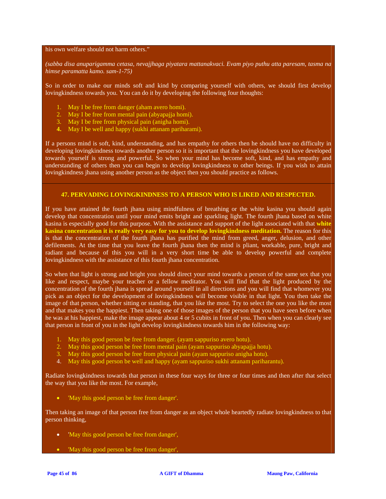#### his own welfare should not harm others.'

*(sabba disa anuparigamma cetasa, nevajjhaga piyatara mattanakvaci. Evam piyo puthu atta paresam, tasma na himse paramatta kamo. sam-1-75)*

So in order to make our minds soft and kind by comparing yourself with others, we should first develop lovingkindness towards you. You can do it by developing the following four thoughts:

- 1. May I be free from danger (aham avero homi).
- 2. May I be free from mental pain (abyapajja homi).
- 3. May I be free from physical pain (anigha homi).
- **4.** May I be well and happy (sukhi attanam pariharami).

If a persons mind is soft, kind, understanding, and has empathy for others then he should have no difficulty in developing lovingkindness towards another person so it is important that the lovingkindness you have developed towards yourself is strong and powerful. So when your mind has become soft, kind, and has empathy and understanding of others then you can begin to develop lovingkindness to other beings. If you wish to attain lovingkindness jhana using another person as the object then you should practice as follows.

# **47. PERVADING LOVINGKINDNESS TO A PERSON WHO IS LIKED AND RESPECTED.**

If you have attained the fourth jhana using mindfulness of breathing or the white kasina you should again develop that concentration until your mind emits bright and sparkling light. The fourth jhana based on white kasina is especially good for this purpose. With the assistance and support of the light associated with that **white kasina concentration it is really very easy for you to develop lovingkindness meditation.** The reason for this is that the concentration of the fourth jhana has purified the mind from greed, anger, delusion, and other defilements. At the time that you leave the fourth jhana then the mind is pliant, workable, pure, bright and radiant and because of this you will in a very short time be able to develop powerful and complete lovingkindness with the assistance of this fourth jhana concentration.

So when that light is strong and bright you should direct your mind towards a person of the same sex that you like and respect, maybe your teacher or a fellow meditator. You will find that the light produced by the concentration of the fourth jhana is spread around yourself in all directions and you will find that whomever you pick as an object for the development of lovingkindness will become visible in that light. You then take the image of that person, whether sitting or standing, that you like the most. Try to select the one you like the most and that makes you the happiest. Then taking one of those images of the person that you have seen before when he was at his happiest, make the image appear about 4 or 5 cubits in front of you. Then when you can clearly see that person in front of you in the light develop lovingkindness towards him in the following way:

- 1. May this good person be free from danger. (ayam sappuriso avero hotu).
- 2. May this good person be free from mental pain (ayam sappuriso abyapajja hotu).
- 3. May this good person be free from physical pain (ayam sappuriso anigha hotu).
- 4. May this good person be well and happy (ayam sappuriso sukhi attanam pariharantu).

Radiate lovingkindness towards that person in these four ways for three or four times and then after that select the way that you like the most. For example,

• 'May this good person be free from danger'.

Then taking an image of that person free from danger as an object whole heartedly radiate lovingkindness to that person thinking,

- 'May this good person be free from danger',
- 'May this good person be free from danger',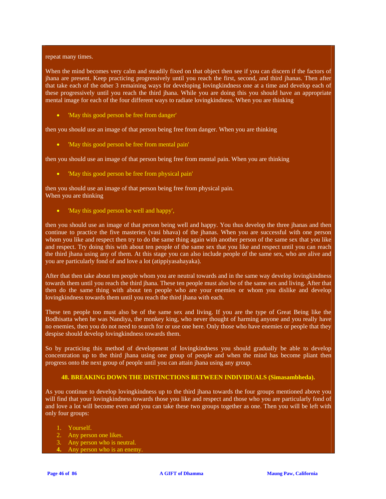#### repeat many times.

When the mind becomes very calm and steadily fixed on that object then see if you can discern if the factors of jhana are present. Keep practicing progressively until you reach the first, second, and third jhanas. Then after that take each of the other 3 remaining ways for developing lovingkindness one at a time and develop each of these progressively until you reach the third jhana. While you are doing this you should have an appropriate mental image for each of the four different ways to radiate lovingkindness. When you are thinking

• 'May this good person be free from danger'

then you should use an image of that person being free from danger. When you are thinking

• 'May this good person be free from mental pain'

then you should use an image of that person being free from mental pain. When you are thinking

• 'May this good person be free from physical pain'

then you should use an image of that person being free from physical pain. When you are thinking

• 'May this good person be well and happy',

then you should use an image of that person being well and happy. You thus develop the three jhanas and then continue to practice the five masteries (vasi bhava) of the jhanas. When you are successful with one person whom you like and respect then try to do the same thing again with another person of the same sex that you like and respect. Try doing this with about ten people of the same sex that you like and respect until you can reach the third jhana using any of them. At this stage you can also include people of the same sex, who are alive and you are particularly fond of and love a lot (atippiyasahayaka).

After that then take about ten people whom you are neutral towards and in the same way develop lovingkindness towards them until you reach the third jhana. These ten people must also be of the same sex and living. After that then do the same thing with about ten people who are your enemies or whom you dislike and develop lovingkindness towards them until you reach the third jhana with each.

These ten people too must also be of the same sex and living. If you are the type of Great Being like the Bodhisatta when he was Nandiya, the monkey king, who never thought of harming anyone and you really have no enemies, then you do not need to search for or use one here. Only those who have enemies or people that they despise should develop lovingkindness towards them.

So by practicing this method of development of lovingkindness you should gradually be able to develop concentration up to the third jhana using one group of people and when the mind has become pliant then progress onto the next group of people until you can attain jhana using any group.

# **48. BREAKING DOWN THE DISTINCTIONS BETWEEN INDIVIDUALS (Simasambheda).**

As you continue to develop lovingkindness up to the third jhana towards the four groups mentioned above you will find that your lovingkindness towards those you like and respect and those who you are particularly fond of and love a lot will become even and you can take these two groups together as one. Then you will be left with only four groups:

- 1. Yourself.
- 2. Any person one likes.
- 3. Any person who is neutral.
- **4.** Any person who is an enemy.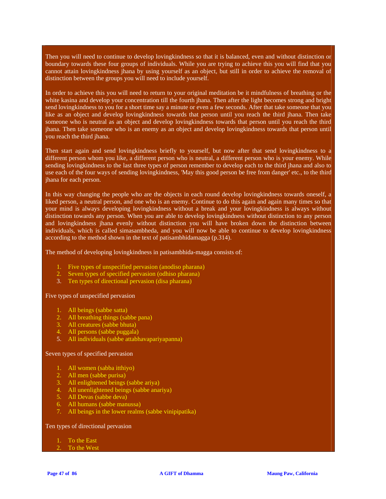Then you will need to continue to develop lovingkindness so that it is balanced, even and without distinction or boundary towards these four groups of individuals. While you are trying to achieve this you will find that you cannot attain lovingkindness jhana by using yourself as an object, but still in order to achieve the removal of distinction between the groups you will need to include yourself.

In order to achieve this you will need to return to your original meditation be it mindfulness of breathing or the white kasina and develop your concentration till the fourth jhana. Then after the light becomes strong and bright send lovingkindness to you for a short time say a minute or even a few seconds. After that take someone that you like as an object and develop lovingkindness towards that person until you reach the third jhana. Then take someone who is neutral as an object and develop lovingkindness towards that person until you reach the third jhana. Then take someone who is an enemy as an object and develop lovingkindness towards that person until you reach the third jhana.

Then start again and send lovingkindness briefly to yourself, but now after that send lovingkindness to a different person whom you like, a different person who is neutral, a different person who is your enemy. While sending lovingkindness to the last three types of person remember to develop each to the third jhana and also to use each of the four ways of sending lovingkindness, 'May this good person be free from danger' etc., to the third jhana for each person.

In this way changing the people who are the objects in each round develop lovingkindness towards oneself, a liked person, a neutral person, and one who is an enemy. Continue to do this again and again many times so that your mind is always developing lovingkindness without a break and your lovingkindness is always without distinction towards any person. When you are able to develop lovingkindness without distinction to any person and lovingkindness jhana evenly without distinction you will have broken down the distinction between individuals, which is called simasambheda, and you will now be able to continue to develop lovingkindness according to the method shown in the text of patisambhidamagga (p.314).

#### The method of developing lovingkindness in patisambhida-magga consists of:

- 1. Five types of unspecified pervasion (anodiso pharana)
- 2. Seven types of specified pervasion (odhiso pharana)
- 3. Ten types of directional pervasion (disa pharana)

#### Five types of unspecified pervasion

- 1. All beings (sabbe satta)
- 2. All breathing things (sabbe pana)
- 3. All creatures (sabbe bhuta)
- 4. All persons (sabbe puggala)
- 5. All individuals (sabbe attabhavapariyapanna)

#### Seven types of specified pervasion

- 1. All women (sabba itthiyo)
- All men (sabbe purisa)
- 3. All enlightened beings (sabbe ariya)
- 4. All unenlightened beings (sabbe anariya)
- 5. All Devas (sabbe deva)
- 6. All humans (sabbe manussa)
- 7. All beings in the lower realms (sabbe vinipipatika)

#### Ten types of directional pervasion

1. To the East

#### To the West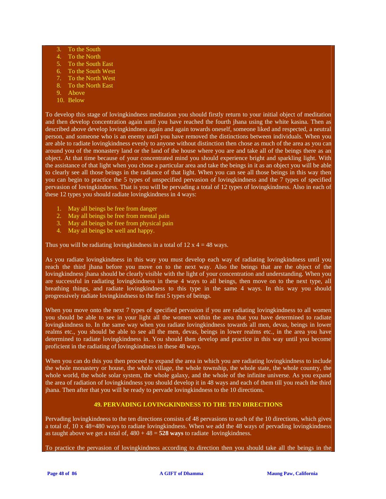- To the South
- 4. To the North
- 5. To the South East
- 6. To the South West
- 7. To the North West
- 8. To the North East
- Above
- 10. Below

To develop this stage of lovingkindness meditation you should firstly return to your initial object of meditation and then develop concentration again until you have reached the fourth jhana using the white kasina. Then as described above develop lovingkindness again and again towards oneself, someone liked and respected, a neutral person, and someone who is an enemy until you have removed the distinctions between individuals. When you are able to radiate lovingkindness evenly to anyone without distinction then chose as much of the area as you can around you of the monastery land or the land of the house where you are and take all of the beings there as an object. At that time because of your concentrated mind you should experience bright and sparkling light. With the assistance of that light when you chose a particular area and take the beings in it as an object you will be able to clearly see all those beings in the radiance of that light. When you can see all those beings in this way then you can begin to practice the 5 types of unspecified pervasion of lovingkindness and the 7 types of specified pervasion of lovingkindness. That is you will be pervading a total of 12 types of lovingkindness. Also in each of these 12 types you should radiate lovingkindness in 4 ways:

- 1. May all beings be free from danger
- 2. May all beings be free from mental pain
- 3. May all beings be free from physical pain
- 4. May all beings be well and happy.

Thus you will be radiating loving kindness in a total of  $12 \times 4 = 48$  ways.

As you radiate lovingkindness in this way you must develop each way of radiating lovingkindness until you reach the third jhana before you move on to the next way. Also the beings that are the object of the lovingkindness jhana should be clearly visible with the light of your concentration and understanding. When you are successful in radiating lovingkindness in these 4 ways to all beings, then move on to the next type, all breathing things, and radiate lovingkindness to this type in the same 4 ways. In this way you should progressively radiate lovingkindness to the first 5 types of beings.

When you move onto the next 7 types of specified pervasion if you are radiating lovingkindness to all women you should be able to see in your light all the women within the area that you have determined to radiate lovingkindness to. In the same way when you radiate lovingkindness towards all men, devas, beings in lower realms etc., you should be able to see all the men, devas, beings in lower realms etc., in the area you have determined to radiate lovingkindness in. You should then develop and practice in this way until you become proficient in the radiating of lovingkindness in these 48 ways.

When you can do this you then proceed to expand the area in which you are radiating lovingkindness to include the whole monastery or house, the whole village, the whole township, the whole state, the whole country, the whole world, the whole solar system, the whole galaxy, and the whole of the infinite universe. As you expand the area of radiation of lovingkindness you should develop it in 48 ways and each of them till you reach the third jhana. Then after that you will be ready to pervade lovingkindness to the 10 directions.

#### **49. PERVADING LOVINGKINDNESS TO THE TEN DIRECTIONS**

Pervading lovingkindness to the ten directions consists of 48 pervasions to each of the 10 directions, which gives a total of, 10 x 48=480 ways to radiate lovingkindness. When we add the 48 ways of pervading lovingkindness as taught above we get a total of,  $480 + 48 = 528$  ways to radiate loving kindness.

To practice the pervasion of lovingkindness according to direction then you should take all the beings in the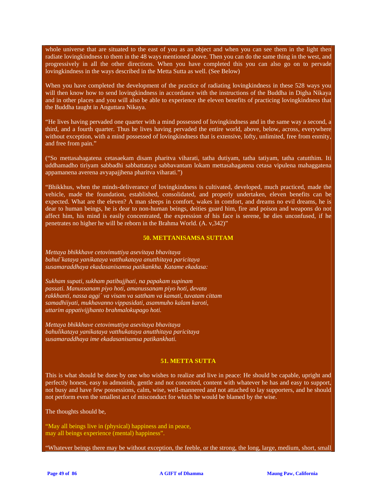whole universe that are situated to the east of you as an object and when you can see them in the light then radiate lovingkindness to them in the 48 ways mentioned above. Then you can do the same thing in the west, and progressively in all the other directions. When you have completed this you can also go on to pervade lovingkindness in the ways described in the Metta Sutta as well. (See Below)

When you have completed the development of the practice of radiating lovingkindness in these 528 ways you will then know how to send lovingkindness in accordance with the instructions of the Buddha in Digha Nikaya and in other places and you will also be able to experience the eleven benefits of practicing lovingkindness that the Buddha taught in Anguttara Nikaya.

"He lives having pervaded one quarter with a mind possessed of lovingkindness and in the same way a second, a third, and a fourth quarter. Thus he lives having pervaded the entire world, above, below, across, everywhere without exception, with a mind possessed of lovingkindness that is extensive, lofty, unlimited, free from enmity, and free from pain."

("So mettasahagatena cetasaekam disam pharitva viharati, tatha dutiyam, tatha tatiyam, tatha catutthim. Iti uddhamadho tiriyam sabbadhi sabbattataya sabbavantam lokam mettasahagatena cetasa vipulena mahaggatena appamanena averena avyapajjhena pharitva viharati.")

"Bhikkhus, when the minds-deliverance of lovingkindness is cultivated, developed, much practiced, made the vehicle, made the foundation, established, consolidated, and properly undertaken, eleven benefits can be expected. What are the eleven? A man sleeps in comfort, wakes in comfort, and dreams no evil dreams, he is dear to human beings, he is dear to non-human beings, deities guard him, fire and poison and weapons do not affect him, his mind is easily concentrated, the expression of his face is serene, he dies unconfused, if he penetrates no higher he will be reborn in the Brahma World. (A. v,342)"

#### **50. METTANISAMSA SUTTAM**

*Mettaya bhikkhave cetovimuttiya asevitaya bhavitaya bahul´kataya yanikataya vatthukataya anutthitaya paricitaya susamaraddhaya ekadasanisamsa patikankha. Katame ekadasa:*

*Sukham supati, sukham patibujjhati, na papakam supinam passati. Manussanam piyo hoti, amanussanam piyo hoti, devata rakkhanti, nassa aggi´ va visam va sattham va kamati, tuvatam cittam samadhiiyati, mukhavanno vippasidati, asammuho kalam karoti, uttarim appativijjhanto brahmalokupago hoti.*

*Mettaya bhikkhave cetovimuttiya asevitaya bhavitaya bahulikataya yanikataya vatthukataya anutthitaya paricitaya susamaraddhaya ime ekadasanisamsa patikankhati.*

# **51. METTA SUTTA**

This is what should be done by one who wishes to realize and live in peace: He should be capable, upright and perfectly honest, easy to admonish, gentle and not conceited, content with whatever he has and easy to support, not busy and have few possessions, calm, wise, well-mannered and not attached to lay supporters, and he should not perform even the smallest act of misconduct for which he would be blamed by the wise.

The thoughts should be,

"May all beings live in (physical) happiness and in peace, may all beings experience (mental) happiness".

"Whatever beings there may be without exception, the feeble, or the strong, the long, large, medium, short, small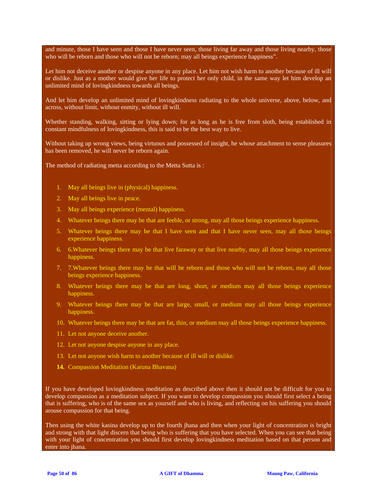and minute, those I have seen and those I have never seen, those living far away and those living nearby, those who will be reborn and those who will not be reborn; may all beings experience happiness".

Let him not deceive another or despise anyone in any place. Let him not wish harm to another because of ill will or dislike. Just as a mother would give her life to protect her only child, in the same way let him develop an unlimited mind of lovingkindness towards all beings.

And let him develop an unlimited mind of lovingkindness radiating to the whole universe, above, below, and across, without limit, without enmity, without ill will.

Whether standing, walking, sitting or lying down; for as long as he is free from sloth, being established in constant mindfulness of lovingkindness, this is said to be the best way to live.

Without taking up wrong views, being virtuous and possessed of insight, he whose attachment to sense pleasures has been removed, he will never be reborn again.

The method of radiating metta according to the Metta Sutta is :

- 1. May all beings live in (physical) happiness.
- 2. May all beings live in peace.
- 3. May all beings experience (mental) happiness.
- 4. Whatever beings there may be that are feeble, or strong, may all those beings experience happiness.
- 5. Whatever beings there may be that I have seen and that I have never seen, may all those beings experience happiness.
- 6. 6.Whatever beings there may be that live faraway or that live nearby, may all those beings experience happiness.
- 7. 7.Whatever beings there may be that will be reborn and those who will not be reborn, may all those beings experience happiness.
- 8. Whatever beings there may be that are long, short, or medium may all those beings experience happiness.
- 9. Whatever beings there may be that are large, small, or medium may all those beings experience happiness.
- 10. Whatever beings there may be that are fat, thin, or medium may all those beings experience happiness.
- 11. Let not anyone deceive another.
- 12. Let not anyone despise anyone in any place.
- 13. Let not anyone wish harm to another because of ill will or dislike.
- **14.** Compassion Meditation (Karuna Bhavana)

If you have developed lovingkindness meditation as described above then it should not be difficult for you to develop compassion as a meditation subject. If you want to develop compassion you should first select a being that is suffering, who is of the same sex as yourself and who is living, and reflecting on his suffering you should arouse compassion for that being.

Then using the white kasina develop up to the fourth jhana and then when your light of concentration is bright and strong with that light discern that being who is suffering that you have selected. When you can see that being with your light of concentration you should first develop lovingkindness meditation based on that person and enter into ihana.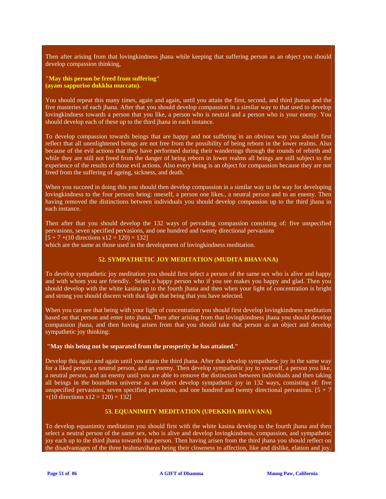Then after arising from that lovingkindness jhana while keeping that suffering person as an object you should develop compassion thinking,

**"May this person be freed from suffering" (ayam sappuriso dukkha muccatu).** 

You should repeat this many times, again and again, until you attain the first, second, and third jhanas and the five masteries of each jhana. After that you should develop compassion in a similar way to that used to develop lovingkindness towards a person that you like, a person who is neutral and a person who is your enemy. You should develop each of these up to the third jhana in each instance.

To develop compassion towards beings that are happy and not suffering in an obvious way you should first reflect that all unenlightened beings are not free from the possibility of being reborn in the lower realms. Also because of the evil actions that they have performed during their wanderings through the rounds of rebirth and while they are still not freed from the danger of being reborn in lower realms all beings are still subject to the experience of the results of those evil actions. Also every being is an object for compassion because they are not freed from the suffering of ageing, sickness, and death.

When you succeed in doing this you should then develop compassion in a similar way to the way for developing lovingkindness to the four persons being: oneself, a person one likes., a neutral person and to an enemy. Then having removed the distinctions between individuals you should develop compassion up to the third jhana in each instance.

Then after that you should develop the 132 ways of pervading compassion consisting of: five unspecified pervasions, seven specified pervasions, and one hundred and twenty directional pervasions  $[5 + 7 + (10 \text{ directions } x12 = 120) = 132]$ 

which are the same as those used in the development of loving kindness meditation.

# **52. SYMPATHETIC JOY MEDITATION (MUDITA BHAVANA)**

To develop sympathetic joy meditation you should first select a person of the same sex who is alive and happy and with whom you are friendly. Select a happy person who if you see makes you happy and glad. Then you should develop with the white kasina up to the fourth jhana and then when your light of concentration is bright and strong you should discern with that light that being that you have selected.

When you can see that being with your light of concentration you should first develop loving kindness meditation based on that person and enter into jhana. Then after arising from that lovingkindness jhana you should develop compassion jhana, and then having arisen from that you should take that person as an object and develop sympathetic joy thinking:

#### **"May this being not be separated from the prosperity he has attained."**

Develop this again and again until you attain the third jhana. After that develop sympathetic joy in the same way for a liked person, a neutral person, and an enemy. Then develop sympathetic joy to yourself, a person you like, a neutral person, and an enemy until you are able to remove the distinction between individuals and then taking all beings in the boundless universe as an object develop sympathetic joy in 132 ways, consisting of: five unspecified pervasions, seven specified pervasions, and one hundred and twenty directional pervasions. [5 + 7  $+(10$  directions  $x12 = 120$ ) = 132]

# **53. EQUANIMITY MEDITATION (UPEKKHA BHAVANA)**

To develop equanimity meditation you should first with the white kasina develop to the fourth jhana and then select a neutral person of the same sex, who is alive and develop lovingkindness, compassion, and sympathetic joy each up to the third jhana towards that person. Then having arisen from the third jhana you should reflect on the disadvantages of the three brahmaviharas being their closeness to affection, like and dislike, elation and joy.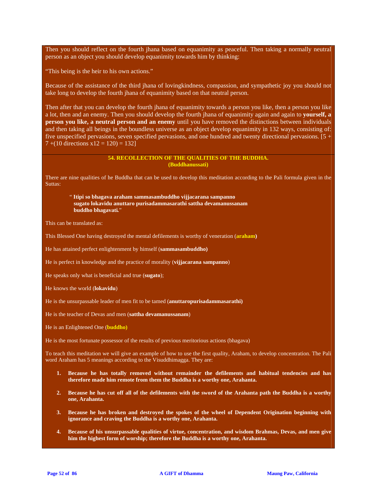Then you should reflect on the fourth jhana based on equanimity as peaceful. Then taking a normally neutral person as an object you should develop equanimity towards him by thinking:

"This being is the heir to his own actions."

Because of the assistance of the third jhana of lovingkindness, compassion, and sympathetic joy you should not take long to develop the fourth jhana of equanimity based on that neutral person.

Then after that you can develop the fourth jhana of equanimity towards a person you like, then a person you like a lot, then and an enemy. Then you should develop the fourth jhana of equanimity again and again to **yourself, a person you like, a neutral person and an enemy** until you have removed the distinctions between individuals and then taking all beings in the boundless universe as an object develop equanimity in 132 ways, consisting of: five unspecified pervasions, seven specified pervasions, and one hundred and twenty directional pervasions. [5 +  $7+(10$  directions  $x12 = 120$ ) = 132]

#### **54. RECOLLECTION OF THE QUALITIES OF THE BUDDHA. (Buddhanussati)**

There are nine qualities of he Buddha that can be used to develop this meditation according to the Pali formula given in the Suttas:

 " **Itipi so bhagava araham sammasambuddho vijjacarana sampanno sugato lokavidu anuttaro purisadammasarathi sattha devamanussanam buddho bhagavati***.*"

This can be translated as:

This Blessed One having destroyed the mental defilements is worthy of veneration (**araham)** 

He has attained perfect enlightenment by himself (**sammasambuddho)** 

He is perfect in knowledge and the practice of morality (**vijjacarana sampanno**)

He speaks only what is beneficial and true (**sugato**);

He knows the world (**lokavidu**)

He is the unsurpassable leader of men fit to be tamed (**anuttaropurisadammasarathi)**

He is the teacher of Devas and men (**sattha devamanussanam**)

He is an Enlightened One (**buddho)**

He is the most fortunate possessor of the results of previous meritorious actions (bhagava)

To teach this meditation we will give an example of how to use the first quality, Araham, to develop concentration. The Pali word Araham has 5 meanings according to the Visuddhimagga. They are:

- **1. Because he has totally removed without remainder the defilements and habitual tendencies and has therefore made him remote from them the Buddha is a worthy one, Arahanta.**
- **2. Because he has cut off all of the defilements with the sword of the Arahanta path the Buddha is a worthy one, Arahanta.**
- **3. Because he has broken and destroyed the spokes of the wheel of Dependent Origination beginning with ignorance and craving the Buddha is a worthy one, Arahanta.**
- **4. Because of his unsurpassable qualities of virtue, concentration, and wisdom Brahmas, Devas, and men give him the highest form of worship; therefore the Buddha is a worthy one, Arahanta.**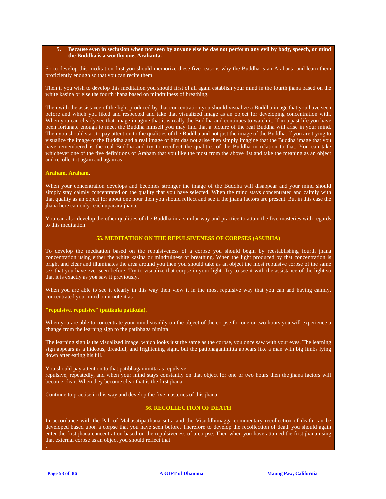#### **5. Because even in seclusion when not seen by anyone else he das not perform any evil by body, speech, or mind the Buddha is a worthy one, Arahanta.**

So to develop this meditation first you should memorize these five reasons why the Buddha is an Arahanta and learn them proficiently enough so that you can recite them.

Then if you wish to develop this meditation you should first of all again establish your mind in the fourth jhana based on the white kasina or else the fourth jhana based on mindfulness of breathing.

Then with the assistance of the light produced by that concentration you should visualize a Buddha image that you have seen before and which you liked and respected and take that visualized image as an object for developing concentration with. When you can clearly see that image imagine that it is really the Buddha and continues to watch it. If in a past life you have been fortunate enough to meet the Buddha himself you may find that a picture of the real Buddha will arise in your mind. Then you should start to pay attention to the qualities of the Buddha and not just the image of the Buddha. If you are trying to visualize the image of the Buddha and a real image of him das not arise then simply imagine that the Buddha image that you have remembered is the real Buddha and try to recollect the qualities of the Buddha in relation to that. You can take whichever one of the five definitions of Araham that you like the most from the above list and take the meaning as an object and recollect it again and again as

#### **Araham, Araham**.

When your concentration develops and becomes stronger the image of the Buddha will disappear and your mind should simply stay calmly concentrated on the quality that you have selected. When the mind stays concentrated and calmly with that quality as an object for about one hour then you should reflect and see if the jhana factors are present. But in this case the jhana here can only reach upacara jhana.

You can also develop the other qualities of the Buddha in a similar way and practice to attain the five masteries with regards to this meditation.

#### **55. MEDITATION ON THE REPULSIVENESS OF CORPSES (ASUBHA)**

To develop the meditation based on the repulsiveness of a corpse you should begin by reestablishing fourth jhana concentration using either the white kasina or mindfulness of breathing. When the light produced by that concentration is bright and clear and illuminates the area around you then you should take as an object the most repulsive corpse of the same sex that you have ever seen before. Try to visualize that corpse in your light. Try to see it with the assistance of the light so that it is exactly as you saw it previously.

When you are able to see it clearly in this way then view it in the most repulsive way that you can and having calmly, concentrated your mind on it note it as

#### **"repulsive, repulsive" (patikula patikula).**

When you are able to concentrate your mind steadily on the object of the corpse for one or two hours you will experience a change from the learning sign to the patibhaga nimitta.

The learning sign is the visualized image, which looks just the same as the corpse, you once saw with your eyes. The learning sign appears as a hideous, dreadful, and frightening sight, but the patibhaganimitta appears like a man with big limbs lying down after eating his fill.

You should pay attention to that patibhaganimitta as repulsive, repulsive, repeatedly, and when your mind stays constantly on that object for one or two hours then the jhana factors will become clear. When they become clear that is the first jhana.

Continue to practise in this way and develop the five masteries of this jhana.

#### **56. RECOLLECTION OF DEATH**

In accordance with the Pali of Mahasatipatthana sutta and the Visuddhimagga commentary recollection of death can be developed based upon a corpse that you have seen before. Therefore to develop the recollection of death you should again enter the first jhana concentration based on the repulsiveness of a corpse. Then when you have attained the first jhana using that external corpse as an object you should reflect that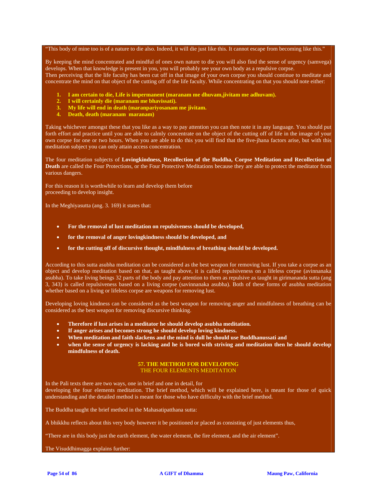"This body of mine too is of a nature to die also. Indeed, it will die just like this. It cannot escape from becoming like this."

By keeping the mind concentrated and mindful of ones own nature to die you will also find the sense of urgency (samvega) develops. When that knowledge is present in you, you will probably see your own body as a repulsive corpse.

Then perceiving that the life faculty has been cut off in that image of your own corpse you should continue to meditate and concentrate the mind on that object of the cutting off of the life faculty. While concentrating on that you should note either:

- **1. I am certain to die, Life is impermanent (maranam me dhuvam,jivitam me adhuvam).**
- **2. I will certainly die (maranam me bhavissati).**
- **3. My life will end in death (maranpariyosanam me jivitam.**
- **4. Death, death (maranam maranam)**

Taking whichever amongst these that you like as a way to pay attention you can then note it in any language. You should put forth effort and practice until you are able to calmly concentrate on the object of the cutting off of life in the image of your own corpse for one or two hours. When you are able to do this you will find that the five-jhana factors arise, but with this meditation subject you can only attain access concentration.

The four meditation subjects of **Lovingkindness, Recollection of the Buddha, Corpse Meditation and Recollection of Death** are called the Four Protections, or the Four Protective Meditations because they are able to protect the meditator from various dangers.

For this reason it is worthwhile to learn and develop them before proceeding to develop insight.

In the Meghiyasutta (ang. 3. 169) it states that:

- **For the removal of lust meditation on repulsiveness should be developed,**
- **for the removal of anger lovingkindness should be developed, and**
- **for the cutting off of discursive thought, mindfulness of breathing should be developed.**

According to this sutta asubha meditation can be considered as the best weapon for removing lust. If you take a corpse as an object and develop meditation based on that, as taught above, it is called repulsiveness on a lifeless corpse (avinnanaka asubha). To take living beings 32 parts of the body and pay attention to them as repulsive as taught in girimananda sutta (ang 3, 343) is called repulsiveness based on a living corpse (savinnanaka asubha). Both of these forms of asubha meditation whether based on a living or lifeless corpse are weapons for removing lust.

Developing loving kindness can be considered as the best weapon for removing anger and mindfulness of breathing can be considered as the best weapon for removing discursive thinking.

- **Therefore if lust arises in a meditator he should develop asubha meditation.**
- **If anger arises and becomes strong he should develop loving kindness.**
- **When meditation and faith slackens and the mind is dull he should use Buddhanussati and**
- **when the sense of urgency is lacking and he is bored with striving and meditation then he should develop mindfulness of death.**

#### **57. THE METHOD FOR DEVELOPING**  THE FOUR ELEMENTS MEDITATION

In the Pali texts there are two ways, one in brief and one in detail, for developing the four elements meditation. The brief method, which will be explained here, is meant for those of quick understanding and the detailed method is meant for those who have difficulty with the brief method.

The Buddha taught the brief method in the Mahasatipatthana sutta:

A bhikkhu reflects about this very body however it be positioned or placed as consisting of just elements thus,

"There are in this body just the earth element, the water element, the fire element, and the air element".

The Visuddhimagga explains further: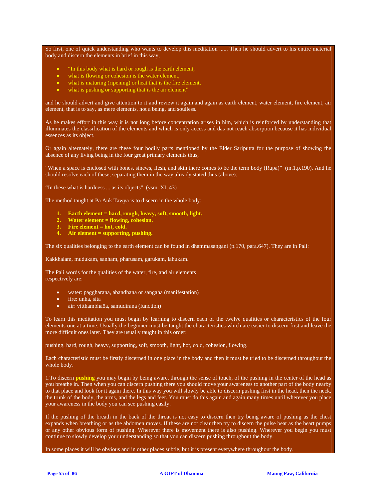So first, one of quick understanding who wants to develop this meditation ...... Then he should advert to his entire material body and discern the elements in brief in this way,

- "In this body what is hard or rough is the earth element,
- what is flowing or cohesion is the water element,
- what is maturing (ripening) or heat that is the fire element,
- what is pushing or supporting that is the air element"

and he should advert and give attention to it and review it again and again as earth element, water element, fire element, air element, that is to say, as mere elements, not a being, and soulless.

As he makes effort in this way it is not long before concentration arises in him, which is reinforced by understanding that illuminates the classification of the elements and which is only access and das not reach absorption because it has individual essences as its object.

Or again alternately, there are these four bodily parts mentioned by the Elder Sariputta for the purpose of showing the absence of any living being in the four great primary elements thus,

"When a space is enclosed with bones, sinews, flesh, and skin there comes to be the term body (Rupa)" (m.1.p.190). And he should resolve each of these, separating them in the way already stated thus (above):

"In these what is hardness ... as its objects". (vsm. XI, 43)

The method taught at Pa Auk Tawya is to discern in the whole body:

- **1. Earth element = hard, rough, heavy, soft, smooth, light.**
- **2. Water element = flowing, cohesion.**
- **3. Fire element = hot, cold.**
- **4. Air element = supporting, pushing.**

The six qualities belonging to the earth element can be found in dhammasangani (p.170, para.647). They are in Pali:

Kakkhalam, mudukam, sanham, pharusam, garukam, lahukam.

The Pali words for the qualities of the water, fire, and air elements respectively are:

- water: paggharana, abandhana or sangaha (manifestation)
- fire: unha, sita
- air: vitthambhaöa, samudirana (function)

To learn this meditation you must begin by learning to discern each of the twelve qualities or characteristics of the four elements one at a time. Usually the beginner must be taught the characteristics which are easier to discern first and leave the more difficult ones later. They are usually taught in this order:

pushing, hard, rough, heavy, supporting, soft, smooth, light, hot, cold, cohesion, flowing.

Each characteristic must be firstly discerned in one place in the body and then it must be tried to be discerned throughout the whole body.

1.To discern **pushing** you may begin by being aware, through the sense of touch, of the pushing in the center of the head as you breathe in. Then when you can discern pushing there you should move your awareness to another part of the body nearby to that place and look for it again there. In this way you will slowly be able to discern pushing first in the head, then the neck, the trunk of the body, the arms, and the legs and feet. You must do this again and again many times until wherever you place your awareness in the body you can see pushing easily.

If the pushing of the breath in the back of the throat is not easy to discern then try being aware of pushing as the chest expands when breathing or as the abdomen moves. If these are not clear then try to discern the pulse beat as the heart pumps or any other obvious form of pushing. Wherever there is movement there is also pushing. Wherever you begin you must continue to slowly develop your understanding so that you can discern pushing throughout the body.

In some places it will be obvious and in other places subtle, but it is present everywhere throughout the body.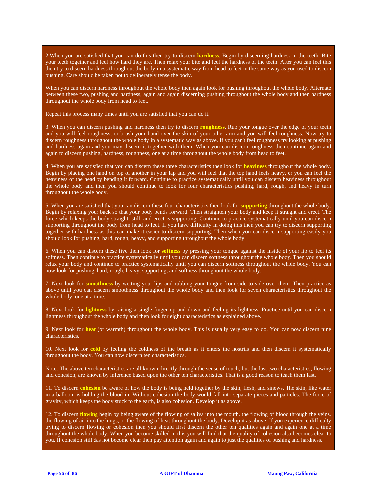2.When you are satisfied that you can do this then try to discern **hardness**. Begin by discerning hardness in the teeth. Bite your teeth together and feel how hard they are. Then relax your bite and feel the hardness of the teeth. After you can feel this then try to discern hardness throughout the body in a systematic way from head to feet in the same way as you used to discern pushing. Care should be taken not to deliberately tense the body.

When you can discern hardness throughout the whole body then again look for pushing throughout the whole body. Alternate between these two, pushing and hardness, again and again discerning pushing throughout the whole body and then hardness throughout the whole body from head to feet.

Repeat this process many times until you are satisfied that you can do it.

3. When you can discern pushing and hardness then try to discern **roughness**. Rub your tongue over the edge of your teeth and you will feel roughness, or brush your hand over the skin of your other arm and you will feel roughness. Now try to discern roughness throughout the whole body in a systematic way as above. If you can't feel roughness try looking at pushing and hardness again and you may discern it together with them. When you can discern roughness then continue again and again to discern pushing, hardness, roughness, one at a time throughout the whole body from head to feet.

4. When you are satisfied that you can discern these three characteristics then look for **heaviness** throughout the whole body. Begin by placing one hand on top of another in your lap and you will feel that the top hand feels heavy, or you can feel the heaviness of the head by bending it forward. Continue to practice systematically until you can discern heaviness throughout the whole body and then you should continue to look for four characteristics pushing, hard, rough, and heavy in turn throughout the whole body.

5. When you are satisfied that you can discern these four characteristics then look for **supporting** throughout the whole body. Begin by relaxing your back so that your body bends forward. Then straighten your body and keep it straight and erect. The force which keeps the body straight, still, and erect is supporting. Continue to practice systematically until you can discern supporting throughout the body from head to feet. If you have difficulty in doing this then you can try to discern supporting together with hardness as this can make it easier to discern supporting. Then when you can discern supporting easily you should look for pushing, hard, rough, heavy, and supporting throughout the whole body.

6. When you can discern these five then look for **softness** by pressing your tongue against the inside of your lip to feel its softness. Then continue to practice systematically until you can discern softness throughout the whole body. Then you should relax your body and continue to practice systematically until you can discern softness throughout the whole body. You can now look for pushing, hard, rough, heavy, supporting, and softness throughout the whole body.

7. Next look for **smoothness** by wetting your lips and rubbing your tongue from side to side over them. Then practice as above until you can discern smoothness throughout the whole body and then look for seven characteristics throughout the whole body, one at a time.

8. Next look for **lightness** by raising a single finger up and down and feeling its lightness. Practice until you can discern lightness throughout the whole body and then look for eight characteristics as explained above.

9. Next look for **heat** (or warmth) throughout the whole body. This is usually very easy to do. You can now discern nine characteristics.

10. Next look for **cold** by feeling the coldness of the breath as it enters the nostrils and then discern it systematically throughout the body. You can now discern ten characteristics.

Note: The above ten characteristics are all known directly through the sense of touch, but the last two characteristics, flowing and cohesion, are known by inference based upon the other ten characteristics. That is a good reason to teach them last.

11. To discern **cohesion** be aware of how the body is being held together by the skin, flesh, and sinews. The skin, like water in a balloon, is holding the blood in. Without cohesion the body would fall into separate pieces and particles. The force of gravity, which keeps the body stuck to the earth, is also cohesion. Develop it as above.

12. To discern **flowing** begin by being aware of the flowing of saliva into the mouth, the flowing of blood through the veins, the flowing of air into the lungs, or the flowing of heat throughout the body. Develop it as above. If you experience difficulty trying to discern flowing or cohesion then you should first discern the other ten qualities again and again one at a time throughout the whole body. When you become skilled in this you will find that the quality of cohesion also becomes clear to you. If cohesion still das not become clear then pay attention again and again to just the qualities of pushing and hardness.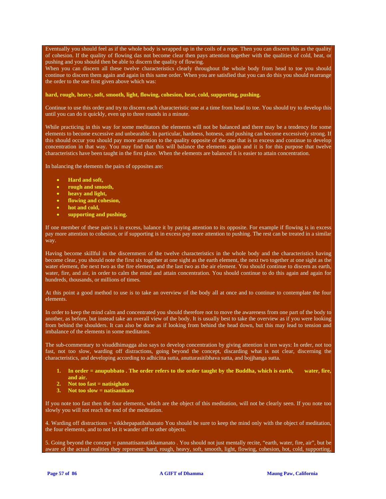Eventually you should feel as if the whole body is wrapped up in the coils of a rope. Then you can discern this as the quality of cohesion. If the quality of flowing das not become clear then pays attention together with the qualities of cold, heat, or pushing and you should then be able to discern the quality of flowing.

When you can discern all these twelve characteristics clearly throughout the whole body from head to toe you should continue to discern them again and again in this same order. When you are satisfied that you can do this you should rearrange the order to the one first given above which was:

**hard, rough, heavy, soft, smooth, light, flowing, cohesion, heat, cold, supporting, pushing.** 

Continue to use this order and try to discern each characteristic one at a time from head to toe. You should try to develop this until you can do it quickly, even up to three rounds in a minute.

While practicing in this way for some meditators the elements will not be balanced and there may be a tendency for some elements to become excessive and unbearable. In particular, hardness, hotness, and pushing can become excessively strong. If this should occur you should pay more attention to the quality opposite of the one that is in excess and continue to develop concentration in that way. You may find that this will balance the elements again and it is for this purpose that twelve characteristics have been taught in the first place. When the elements are balanced it is easier to attain concentration.

In balancing the elements the pairs of opposites are:

- **Hard and soft,**
- **rough and smooth,**
- **heavy and light,**
- **flowing and cohesion,**
- **hot and cold,**
- **supporting and pushing.**

If one member of these pairs is in excess, balance it by paying attention to its opposite. For example if flowing is in excess pay more attention to cohesion, or if supporting is in excess pay more attention to pushing. The rest can be treated in a similar way.

Having become skillful in the discernment of the twelve characteristics in the whole body and the characteristics having become clear, you should note the first six together at one sight as the earth element, the next two together at one sight as the water element, the next two as the fire element, and the last two as the air element. You should continue to discern as earth, water, fire, and air, in order to calm the mind and attain concentration. You should continue to do this again and again for hundreds, thousands, or millions of times.

At this point a good method to use is to take an overview of the body all at once and to continue to contemplate the four elements.

In order to keep the mind calm and concentrated you should therefore not to move the awareness from one part of the body to another, as before, but instead take an overall view of the body. It is usually best to take the overview as if you were looking from behind the shoulders. It can also be done as if looking from behind the head down, but this may lead to tension and imbalance of the elements in some meditators.

The sub-commentary to visuddhimagga also says to develop concentration by giving attention in ten ways: In order, not too fast, not too slow, warding off distractions, going beyond the concept, discarding what is not clear, discerning the characteristics, and developing according to adhicitta sutta, anuttarasitibhava sutta, and bojjhanga sutta.

- **1. In order = anupubbato . The order refers to the order taught by the Buddha, which is earth, water, fire, and air.**
- **2. Not too fast = natisighato**
- **3. Not too slow = natisanikato**

If you note too fast then the four elements, which are the object of this meditation, will not be clearly seen. If you note too slowly you will not reach the end of the meditation.

4. Warding off distractions = vikkhepapatibahanato You should be sure to keep the mind only with the object of meditation, the four elements, and to not let it wander off to other objects.

5. Going beyond the concept = pannattisamatikkamanato . You should not just mentally recite, "earth, water, fire, air", but be aware of the actual realities they represent: hard, rough, heavy, soft, smooth, light, flowing, cohesion, hot, cold, supporting,